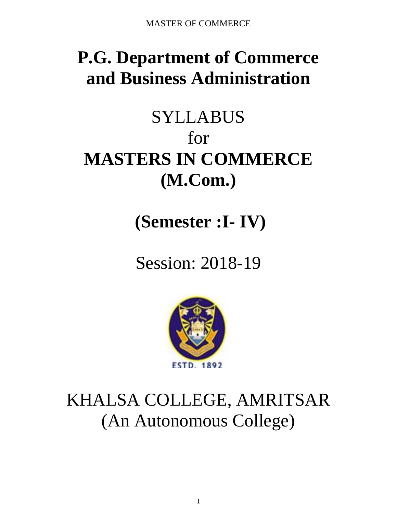# **P.G. Department of Commerce and Business Administration**

# SYLLABUS for **MASTERS IN COMMERCE (M.Com.)**

**(Semester :I- IV)**

Session: 2018-19



# KHALSA COLLEGE, AMRITSAR (An Autonomous College)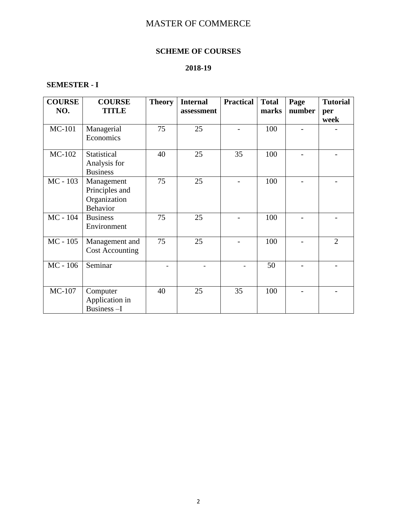# **SCHEME OF COURSES**

# **2018-19**

# **SEMESTER - I**

| <b>COURSE</b><br>NO. | <b>COURSE</b><br><b>TITLE</b>                                   | <b>Theory</b> | <b>Internal</b><br>assessment | <b>Practical</b> | <b>Total</b><br>marks | Page<br>number | <b>Tutorial</b><br>per |
|----------------------|-----------------------------------------------------------------|---------------|-------------------------------|------------------|-----------------------|----------------|------------------------|
|                      |                                                                 |               |                               |                  |                       |                | week                   |
| MC-101               | Managerial<br>Economics                                         | 75            | 25                            |                  | 100                   |                |                        |
| MC-102               | Statistical<br>Analysis for<br><b>Business</b>                  | 40            | 25                            | 35               | 100                   |                |                        |
| MC - 103             | Management<br>Principles and<br>Organization<br><b>Behavior</b> | 75            | 25                            |                  | 100                   |                |                        |
| MC - 104             | <b>Business</b><br>Environment                                  | 75            | 25                            |                  | 100                   |                |                        |
| $MC - 105$           | Management and<br><b>Cost Accounting</b>                        | 75            | 25                            |                  | 100                   |                | $\overline{2}$         |
| $MC - 106$           | Seminar                                                         |               |                               |                  | 50                    |                |                        |
| MC-107               | Computer<br>Application in<br>Business-I                        | 40            | 25                            | 35               | 100                   |                |                        |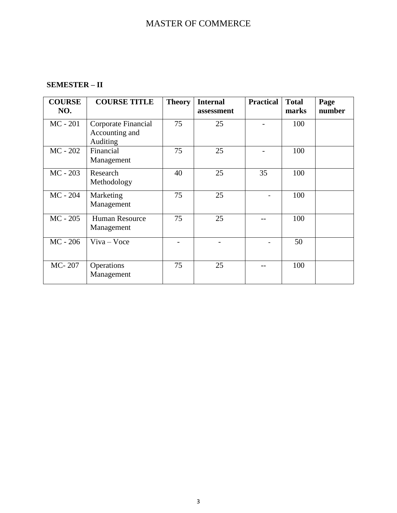# **SEMESTER – II**

| <b>COURSE</b><br>NO. | <b>COURSE TITLE</b>                               | <b>Theory</b> | <b>Internal</b><br>assessment | <b>Practical</b> | <b>Total</b><br>marks | Page<br>number |
|----------------------|---------------------------------------------------|---------------|-------------------------------|------------------|-----------------------|----------------|
| $MC - 201$           | Corporate Financial<br>Accounting and<br>Auditing | 75            | 25                            |                  | 100                   |                |
| $MC - 202$           | Financial<br>Management                           | 75            | 25                            |                  | 100                   |                |
| MC - 203             | Research<br>Methodology                           | 40            | 25                            | 35               | 100                   |                |
| $MC - 204$           | Marketing<br>Management                           | 75            | 25                            |                  | 100                   |                |
| $MC - 205$           | <b>Human Resource</b><br>Management               | 75            | 25                            |                  | 100                   |                |
| $MC - 206$           | $V$ iva – Voce                                    |               |                               |                  | 50                    |                |
| MC-207               | Operations<br>Management                          | 75            | 25                            |                  | 100                   |                |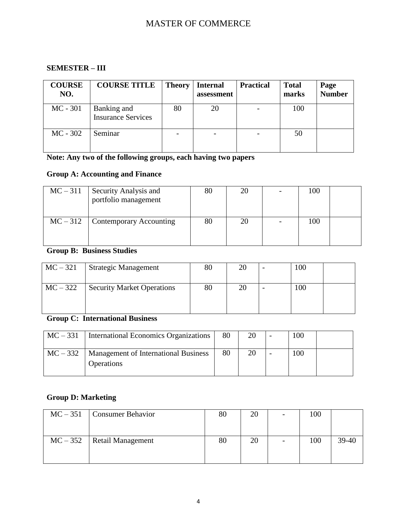# **SEMESTER – III**

| <b>COURSE</b><br>NO. | <b>COURSE TITLE</b>                      | <b>Theory</b> | <b>Internal</b><br>assessment | <b>Practical</b> | <b>Total</b><br>marks | Page<br><b>Number</b> |
|----------------------|------------------------------------------|---------------|-------------------------------|------------------|-----------------------|-----------------------|
| $MC - 301$           | Banking and<br><b>Insurance Services</b> | 80            | 20                            |                  | 100                   |                       |
| $MC - 302$           | Seminar                                  |               |                               |                  | 50                    |                       |

# **Note: Any two of the following groups, each having two papers**

# **Group A: Accounting and Finance**

| $MC-311$ | Security Analysis and<br>portfolio management | $80\,$ | 20 | 100 |  |
|----------|-----------------------------------------------|--------|----|-----|--|
|          | $MC - 312$ Contemporary Accounting            | 80     | 20 | 100 |  |

# **Group B: Business Studies**

| $MC-321$ | <b>Strategic Management</b>       | 80 | 20 | 100 |  |
|----------|-----------------------------------|----|----|-----|--|
| $MC-322$ | <b>Security Market Operations</b> | 80 | 20 | 100 |  |

# **Group C: International Business**

| $MC-331$ | International Economics Organizations                     | 80 | 20 | 100 |  |
|----------|-----------------------------------------------------------|----|----|-----|--|
| $MC-332$ | Management of International Business<br><b>Operations</b> | 80 | 20 | 100 |  |

# **Group D: Marketing**

| $MC - 351$ Consumer Behavior   | 80 | 20 | 100 |       |
|--------------------------------|----|----|-----|-------|
| $MC - 352$   Retail Management | 80 | 20 | 100 | 39-40 |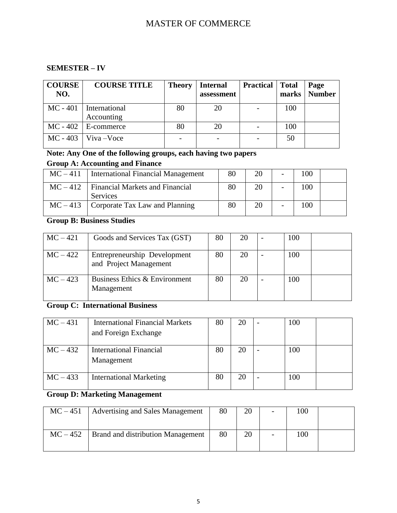# **SEMESTER – IV**

| <b>COURSE</b><br>NO. | <b>COURSE TITLE</b>         | <b>Theory</b>            | Internal<br>assessment | <b>Practical</b> | <b>Total</b><br>marks | Page<br><b>Number</b> |
|----------------------|-----------------------------|--------------------------|------------------------|------------------|-----------------------|-----------------------|
| $MC - 401$           | International<br>Accounting | 80                       | 20                     |                  | 100                   |                       |
|                      | $MC - 402$   E-commerce     | 80                       | 20                     |                  | 100                   |                       |
|                      | $MC - 403$ Viva – Voce      | $\overline{\phantom{a}}$ |                        |                  | 50                    |                       |

# **Note: Any One of the following groups, each having two papers**

# **Group A: Accounting and Finance**

|          | $MC-411$   International Financial Management      | 80 | 20 | 100 |  |
|----------|----------------------------------------------------|----|----|-----|--|
| $MC-412$ | <b>Financial Markets and Financial</b><br>Services | 80 | 20 | 100 |  |
|          | $MC-413$ Corporate Tax Law and Planning            | 80 | 20 | 100 |  |

# **Group B: Business Studies**

| $MC-421$   | Goods and Services Tax (GST)                           | 80 | 20 | 100 |  |
|------------|--------------------------------------------------------|----|----|-----|--|
| $MC-422$   | Entrepreneurship Development<br>and Project Management | 80 | 20 | 100 |  |
| $MC - 423$ | Business Ethics & Environment<br>Management            | 80 | 20 | 100 |  |

# **Group C: International Business**

| $MC-431$   | International Financial Markets<br>and Foreign Exchange | 80 | 20 | 100 |  |
|------------|---------------------------------------------------------|----|----|-----|--|
| $MC-432$   | <b>International Financial</b><br>Management            | 80 | 20 | 100 |  |
| $MC - 433$ | <b>International Marketing</b>                          | 80 | 20 | 100 |  |

# **Group D: Marketing Management**

| $MC - 451$ | <b>Advertising and Sales Management</b>  | 80 | 20 | $\overline{\phantom{a}}$ | 100 |  |
|------------|------------------------------------------|----|----|--------------------------|-----|--|
| $MC - 452$ | <b>Brand and distribution Management</b> | 80 | 20 | -                        | 100 |  |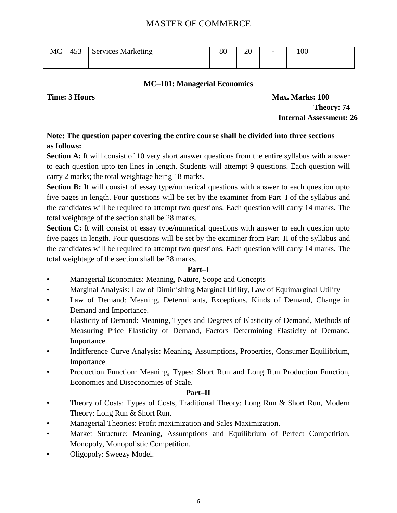| $MC - 453$ | <b>Services Marketing</b> | ov | ററ<br>ΖU | $\overline{\phantom{0}}$ | 100 |  |
|------------|---------------------------|----|----------|--------------------------|-----|--|
|            |                           |    |          |                          |     |  |

# **MC–101: Managerial Economics**

**Time: 3 Hours Max. Marks: 100 Theory: 74 Internal Assessment: 26**

# **Note: The question paper covering the entire course shall be divided into three sections as follows:**

**Section A:** It will consist of 10 very short answer questions from the entire syllabus with answer to each question upto ten lines in length. Students will attempt 9 questions. Each question will carry 2 marks; the total weightage being 18 marks.

**Section B:** It will consist of essay type/numerical questions with answer to each question upto five pages in length. Four questions will be set by the examiner from Part–I of the syllabus and the candidates will be required to attempt two questions. Each question will carry 14 marks. The total weightage of the section shall be 28 marks.

**Section C:** It will consist of essay type/numerical questions with answer to each question upto five pages in length. Four questions will be set by the examiner from Part–II of the syllabus and the candidates will be required to attempt two questions. Each question will carry 14 marks. The total weightage of the section shall be 28 marks.

# **Part–I**

- Managerial Economics: Meaning, Nature, Scope and Concepts
- Marginal Analysis: Law of Diminishing Marginal Utility, Law of Equimarginal Utility
- Law of Demand: Meaning, Determinants, Exceptions, Kinds of Demand, Change in Demand and Importance.
- Elasticity of Demand: Meaning, Types and Degrees of Elasticity of Demand, Methods of Measuring Price Elasticity of Demand, Factors Determining Elasticity of Demand, Importance.
- Indifference Curve Analysis: Meaning, Assumptions, Properties, Consumer Equilibrium, Importance.
- Production Function: Meaning, Types: Short Run and Long Run Production Function, Economies and Diseconomies of Scale.

# **Part–II**

- Theory of Costs: Types of Costs, Traditional Theory: Long Run & Short Run, Modern Theory: Long Run & Short Run.
- Managerial Theories: Profit maximization and Sales Maximization.
- Market Structure: Meaning, Assumptions and Equilibrium of Perfect Competition, Monopoly, Monopolistic Competition.
- Oligopoly: Sweezy Model.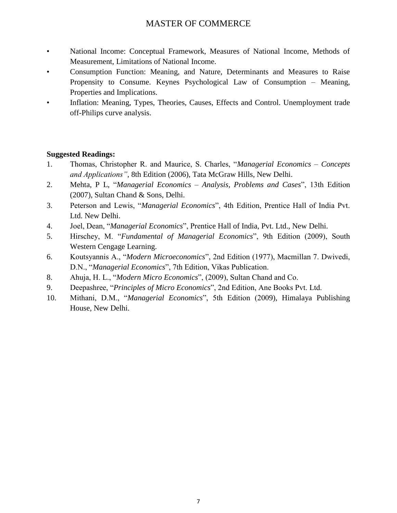- National Income: Conceptual Framework, Measures of National Income, Methods of Measurement, Limitations of National Income.
- Consumption Function: Meaning, and Nature, Determinants and Measures to Raise Propensity to Consume. Keynes Psychological Law of Consumption – Meaning, Properties and Implications.
- Inflation: Meaning, Types, Theories, Causes, Effects and Control. Unemployment trade off-Philips curve analysis.

- 1. Thomas, Christopher R. and Maurice, S. Charles, "Managerial Economics Concepts *and Applications"*, 8th Edition (2006), Tata McGraw Hills, New Delhi.
- 2. Mehta, P L, "Managerial Economics Analysis, Problems and Cases", 13th Edition (2007), Sultan Chand & Sons, Delhi.
- 3. Peterson and Lewis, "Managerial Economics", 4th Edition, Prentice Hall of India Pvt. Ltd. New Delhi.
- 4. Joel, Dean, "*Managerial Economics*", Prentice Hall of India, Pvt. Ltd., New Delhi.
- 5. Hirschey, M. "Fundamental of Managerial Economics", 9th Edition (2009), South Western Cengage Learning.
- 6. Koutsyannis A., ―*Modern Microeconomics*‖, 2nd Edition (1977), Macmillan 7. Dwivedi, D.N., "Managerial Economics", 7th Edition, Vikas Publication.
- 8. Ahuja, H. L., "*Modern Micro Economics*", (2009), Sultan Chand and Co.
- 9. Deepashree, "*Principles of Micro Economics*", 2nd Edition, Ane Books Pvt. Ltd.
- 10. Mithani, D.M., "*Managerial Economics*", 5th Edition (2009), Himalaya Publishing House, New Delhi.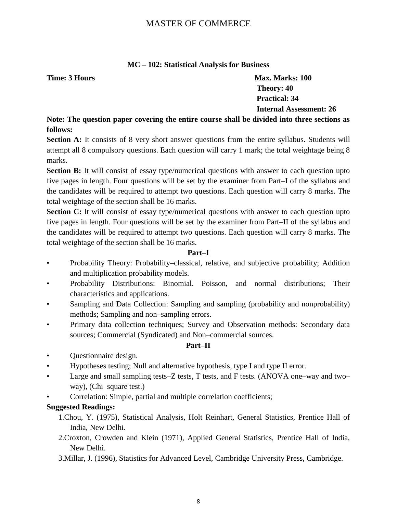# **MC – 102: Statistical Analysis for Business**

**Time: 3 Hours Max. Marks: 100 Theory: 40 Practical: 34 Internal Assessment: 26**

**Note: The question paper covering the entire course shall be divided into three sections as follows:**

**Section A:** It consists of 8 very short answer questions from the entire syllabus. Students will attempt all 8 compulsory questions. Each question will carry 1 mark; the total weightage being 8 marks.

**Section B:** It will consist of essay type/numerical questions with answer to each question upto five pages in length. Four questions will be set by the examiner from Part–I of the syllabus and the candidates will be required to attempt two questions. Each question will carry 8 marks. The total weightage of the section shall be 16 marks.

**Section C:** It will consist of essay type/numerical questions with answer to each question upto five pages in length. Four questions will be set by the examiner from Part–II of the syllabus and the candidates will be required to attempt two questions. Each question will carry 8 marks. The total weightage of the section shall be 16 marks.

# **Part–I**

- Probability Theory: Probability–classical, relative, and subjective probability; Addition and multiplication probability models.
- Probability Distributions: Binomial. Poisson, and normal distributions; Their characteristics and applications.
- Sampling and Data Collection: Sampling and sampling (probability and nonprobability) methods; Sampling and non–sampling errors.
- Primary data collection techniques; Survey and Observation methods: Secondary data sources; Commercial (Syndicated) and Non–commercial sources.

# **Part–II**

- Questionnaire design.
- Hypotheses testing; Null and alternative hypothesis, type I and type II error.
- Large and small sampling tests–Z tests, T tests, and F tests. (ANOVA one–way and two– way), (Chi–square test.)
- Correlation: Simple, partial and multiple correlation coefficients;

- 1.Chou, Y. (1975), Statistical Analysis, Holt Reinhart, General Statistics, Prentice Hall of India, New Delhi.
- 2.Croxton, Crowden and Klein (1971), Applied General Statistics, Prentice Hall of India, New Delhi.
- 3.Millar, J. (1996), Statistics for Advanced Level, Cambridge University Press, Cambridge.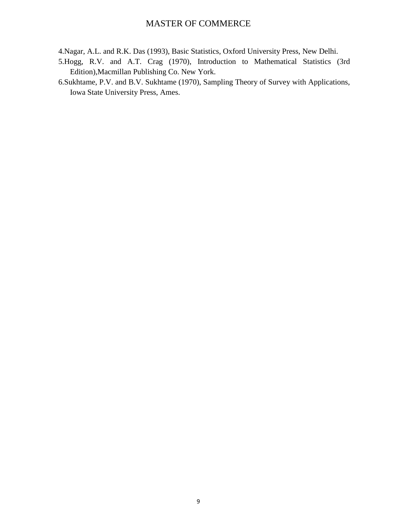- 4.Nagar, A.L. and R.K. Das (1993), Basic Statistics, Oxford University Press, New Delhi.
- 5.Hogg, R.V. and A.T. Crag (1970), Introduction to Mathematical Statistics (3rd Edition),Macmillan Publishing Co. New York.
- 6.Sukhtame, P.V. and B.V. Sukhtame (1970), Sampling Theory of Survey with Applications, Iowa State University Press, Ames.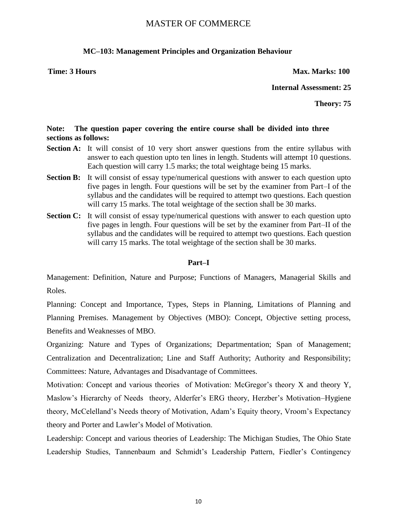# **MC–103: Management Principles and Organization Behaviour**

**Time: 3 Hours Max. Marks: 100** 

**Internal Assessment: 25**

**Theory: 75**

# **Note: The question paper covering the entire course shall be divided into three sections as follows:**

- **Section A:** It will consist of 10 very short answer questions from the entire syllabus with answer to each question upto ten lines in length. Students will attempt 10 questions. Each question will carry 1.5 marks; the total weightage being 15 marks.
- **Section B:** It will consist of essay type/numerical questions with answer to each question upto five pages in length. Four questions will be set by the examiner from Part–I of the syllabus and the candidates will be required to attempt two questions. Each question will carry 15 marks. The total weightage of the section shall be 30 marks.
- **Section C:** It will consist of essay type/numerical questions with answer to each question upto five pages in length. Four questions will be set by the examiner from Part–II of the syllabus and the candidates will be required to attempt two questions. Each question will carry 15 marks. The total weightage of the section shall be 30 marks.

### **Part–I**

Management: Definition, Nature and Purpose; Functions of Managers, Managerial Skills and Roles.

Planning: Concept and Importance, Types, Steps in Planning, Limitations of Planning and Planning Premises. Management by Objectives (MBO): Concept, Objective setting process, Benefits and Weaknesses of MBO.

Organizing: Nature and Types of Organizations; Departmentation; Span of Management; Centralization and Decentralization; Line and Staff Authority; Authority and Responsibility; Committees: Nature, Advantages and Disadvantage of Committees.

Motivation: Concept and various theories of Motivation: McGregor's theory X and theory Y, Maslow's Hierarchy of Needs theory, Alderfer's ERG theory, Herzber's Motivation–Hygiene theory, McCelelland's Needs theory of Motivation, Adam's Equity theory, Vroom's Expectancy theory and Porter and Lawler's Model of Motivation.

Leadership: Concept and various theories of Leadership: The Michigan Studies, The Ohio State Leadership Studies, Tannenbaum and Schmidt's Leadership Pattern, Fiedler's Contingency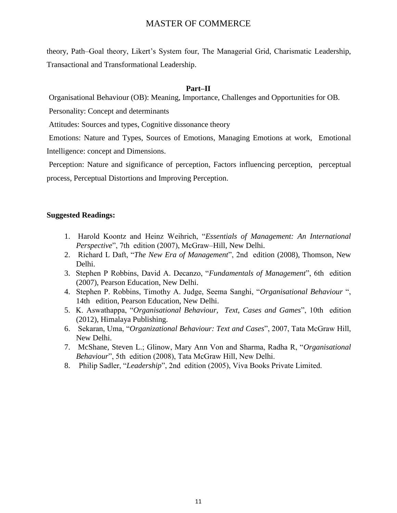theory, Path–Goal theory, Likert's System four, The Managerial Grid, Charismatic Leadership, Transactional and Transformational Leadership.

### **Part–II**

Organisational Behaviour (OB): Meaning, Importance, Challenges and Opportunities for OB.

Personality: Concept and determinants

Attitudes: Sources and types, Cognitive dissonance theory

Emotions: Nature and Types, Sources of Emotions, Managing Emotions at work, Emotional Intelligence: concept and Dimensions.

Perception: Nature and significance of perception, Factors influencing perception, perceptual process, Perceptual Distortions and Improving Perception.

- 1. Harold Koontz and Heinz Weihrich, ―*Essentials of Management: An International Perspective*", 7th edition (2007), McGraw–Hill, New Delhi.
- 2. Richard L Daft, *"The New Era of Management"*, 2nd edition (2008), Thomson, New Delhi.
- 3. Stephen P Robbins, David A. Decanzo, "Fundamentals of Management", 6th edition (2007), Pearson Education, New Delhi.
- 4. Stephen P. Robbins, Timothy A. Judge, Seema Sanghi, "Organisational Behaviour", 14th edition, Pearson Education, New Delhi.
- 5. K. Aswathappa, "*Organisational Behaviour, Text, Cases and Games*", 10th edition (2012), Himalaya Publishing.
- 6. Sekaran, Uma, "*Organizational Behaviour: Text and Cases*", 2007, Tata McGraw Hill, New Delhi.
- 7. McShane, Steven L.; Glinow, Mary Ann Von and Sharma, Radha R, ―*Organisational Behaviour*", 5th edition (2008), Tata McGraw Hill, New Delhi.
- 8. Philip Sadler, "Leadership", 2nd edition (2005), Viva Books Private Limited.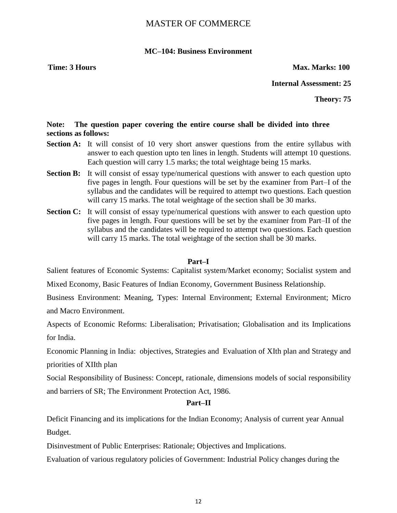### **MC–104: Business Environment**

**Time: 3 Hours Max. Marks: 100** 

**Internal Assessment: 25**

**Theory: 75**

# **Note: The question paper covering the entire course shall be divided into three sections as follows:**

- **Section A:** It will consist of 10 very short answer questions from the entire syllabus with answer to each question upto ten lines in length. Students will attempt 10 questions. Each question will carry 1.5 marks; the total weightage being 15 marks.
- **Section B:** It will consist of essay type/numerical questions with answer to each question upto five pages in length. Four questions will be set by the examiner from Part–I of the syllabus and the candidates will be required to attempt two questions. Each question will carry 15 marks. The total weightage of the section shall be 30 marks.
- **Section C:** It will consist of essay type/numerical questions with answer to each question upto five pages in length. Four questions will be set by the examiner from Part–II of the syllabus and the candidates will be required to attempt two questions. Each question will carry 15 marks. The total weightage of the section shall be 30 marks.

### **Part–I**

Salient features of Economic Systems: Capitalist system/Market economy; Socialist system and

Mixed Economy, Basic Features of Indian Economy, Government Business Relationship.

Business Environment: Meaning, Types: Internal Environment; External Environment; Micro and Macro Environment.

Aspects of Economic Reforms: Liberalisation; Privatisation; Globalisation and its Implications for India.

Economic Planning in India: objectives, Strategies and Evaluation of XIth plan and Strategy and priorities of XIIth plan

Social Responsibility of Business: Concept, rationale, dimensions models of social responsibility and barriers of SR; The Environment Protection Act, 1986.

### **Part–II**

Deficit Financing and its implications for the Indian Economy; Analysis of current year Annual Budget.

Disinvestment of Public Enterprises: Rationale; Objectives and Implications.

Evaluation of various regulatory policies of Government: Industrial Policy changes during the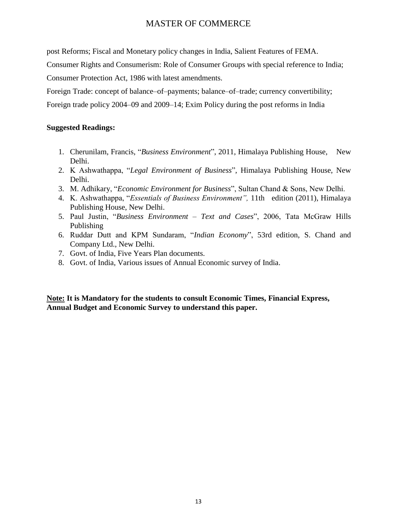post Reforms; Fiscal and Monetary policy changes in India, Salient Features of FEMA.

Consumer Rights and Consumerism: Role of Consumer Groups with special reference to India;

Consumer Protection Act, 1986 with latest amendments.

Foreign Trade: concept of balance–of–payments; balance–of–trade; currency convertibility;

Foreign trade policy 2004–09 and 2009–14; Exim Policy during the post reforms in India

# **Suggested Readings:**

- 1. Cherunilam, Francis, *"Business Environment"*, 2011, Himalaya Publishing House, New Delhi.
- 2. K Ashwathappa, "Legal Environment of Business", Himalaya Publishing House, New Delhi.
- 3. M. Adhikary, "*Economic Environment for Business*", Sultan Chand & Sons, New Delhi.
- 4. K. Ashwathappa, "*Essentials of Business Environment"*, 11th edition (2011), Himalaya Publishing House, New Delhi.
- 5. Paul Justin, "Business Environment Text and Cases", 2006, Tata McGraw Hills Publishing
- 6. Ruddar Dutt and KPM Sundaram, "Indian Economy", 53rd edition, S. Chand and Company Ltd., New Delhi.
- 7. Govt. of India, Five Years Plan documents.
- 8. Govt. of India, Various issues of Annual Economic survey of India.

**Note: It is Mandatory for the students to consult Economic Times, Financial Express, Annual Budget and Economic Survey to understand this paper.**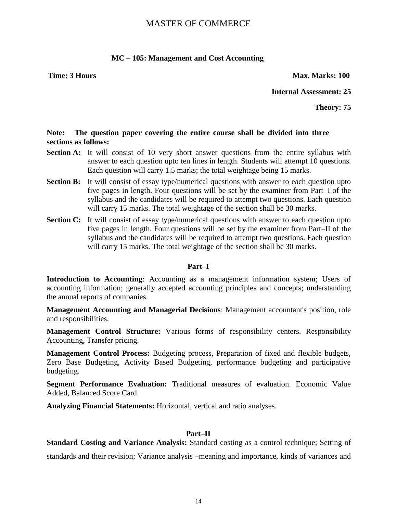### **MC – 105: Management and Cost Accounting**

**Time: 3 Hours Max. Marks: 100** 

**Internal Assessment: 25**

**Theory: 75**

# **Note: The question paper covering the entire course shall be divided into three sections as follows:**

- **Section A:** It will consist of 10 very short answer questions from the entire syllabus with answer to each question upto ten lines in length. Students will attempt 10 questions. Each question will carry 1.5 marks; the total weightage being 15 marks.
- **Section B:** It will consist of essay type/numerical questions with answer to each question upto five pages in length. Four questions will be set by the examiner from Part–I of the syllabus and the candidates will be required to attempt two questions. Each question will carry 15 marks. The total weightage of the section shall be 30 marks.
- **Section C:** It will consist of essay type/numerical questions with answer to each question upto five pages in length. Four questions will be set by the examiner from Part–II of the syllabus and the candidates will be required to attempt two questions. Each question will carry 15 marks. The total weightage of the section shall be 30 marks.

### **Part–I**

**Introduction to Accounting**: Accounting as a management information system; Users of accounting information; generally accepted accounting principles and concepts; understanding the annual reports of companies.

**Management Accounting and Managerial Decisions**: Management accountant's position, role and responsibilities.

**Management Control Structure:** Various forms of responsibility centers. Responsibility Accounting, Transfer pricing.

**Management Control Process:** Budgeting process, Preparation of fixed and flexible budgets, Zero Base Budgeting, Activity Based Budgeting, performance budgeting and participative budgeting.

**Segment Performance Evaluation:** Traditional measures of evaluation. Economic Value Added, Balanced Score Card.

**Analyzing Financial Statements:** Horizontal, vertical and ratio analyses.

# **Part–II**

**Standard Costing and Variance Analysis:** Standard costing as a control technique; Setting of standards and their revision; Variance analysis –meaning and importance, kinds of variances and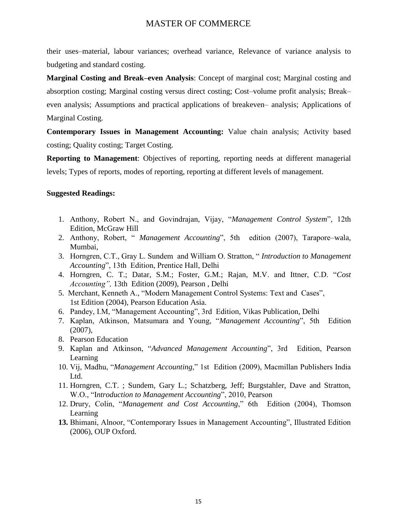their uses–material, labour variances; overhead variance, Relevance of variance analysis to budgeting and standard costing.

**Marginal Costing and Break–even Analysis**: Concept of marginal cost; Marginal costing and absorption costing; Marginal costing versus direct costing; Cost–volume profit analysis; Break– even analysis; Assumptions and practical applications of breakeven– analysis; Applications of Marginal Costing.

**Contemporary Issues in Management Accounting:** Value chain analysis; Activity based costing; Quality costing; Target Costing.

**Reporting to Management**: Objectives of reporting, reporting needs at different managerial levels; Types of reports, modes of reporting, reporting at different levels of management.

- 1. Anthony, Robert N., and Govindrajan, Vijay, "Management Control System", 12th Edition, McGraw Hill
- 2. Anthony, Robert, " *Management Accounting*", 5th edition (2007), Tarapore–wala, Mumbai,
- 3. Horngren, C.T., Gray L. Sundem and William O. Stratton, "*Introduction to Management Accounting*", 13th Edition, Prentice Hall, Delhi
- 4. Horngren, C. T.; Datar, S.M.; Foster, G.M.; Rajan, M.V. and Ittner, C.D. "Cost *Accounting",* 13th Edition (2009), Pearson , Delhi
- 5. Merchant, Kenneth A., "Modern Management Control Systems: Text and Cases", 1st Edition (2004), Pearson Education Asia.
- 6. Pandey, I.M, "Management Accounting", 3rd Edition, Vikas Publication, Delhi
- 7. Kaplan, Atkinson, Matsumara and Young, "Management Accounting", 5th Edition (2007),
- 8. Pearson Education
- 9. Kaplan and Atkinson, "Advanced Management Accounting", 3rd Edition, Pearson Learning
- 10. Vij, Madhu, "*Management Accounting*," 1st Edition (2009), Macmillan Publishers India Ltd.
- 11. Horngren, C.T. ; Sundem, Gary L.; Schatzberg, Jeff; Burgstahler, Dave and Stratton, W.O., "Introduction to Management Accounting", 2010, Pearson
- 12. Drury, Colin, "Management and Cost Accounting," 6th Edition (2004), Thomson Learning
- **13.** Bhimani, Alnoor, "Contemporary Issues in Management Accounting", Illustrated Edition (2006), OUP Oxford.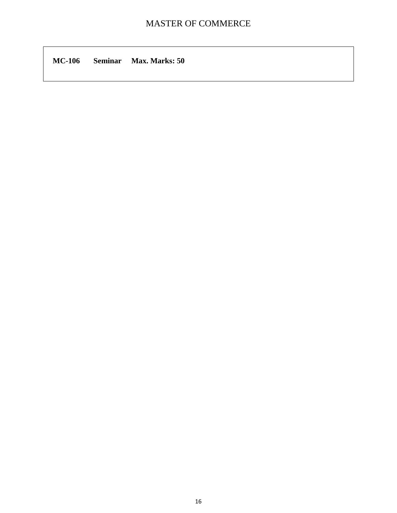**MC-106 Seminar Max. Marks: 50**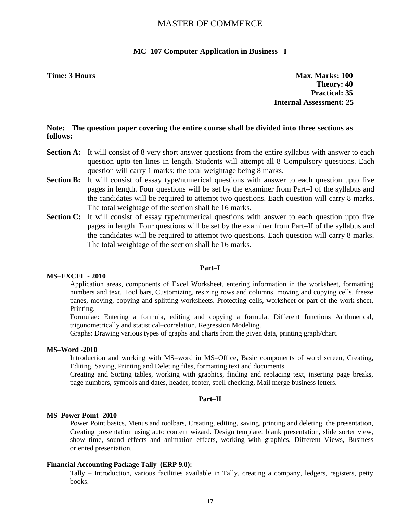### **MC–107 Computer Application in Business –I**

**Time: 3 Hours Max. Marks: 100 Theory: 40 Practical: 35 Internal Assessment: 25**

### **Note: The question paper covering the entire course shall be divided into three sections as follows:**

- **Section A:** It will consist of 8 very short answer questions from the entire syllabus with answer to each question upto ten lines in length. Students will attempt all 8 Compulsory questions. Each question will carry 1 marks; the total weightage being 8 marks.
- **Section B:** It will consist of essay type/numerical questions with answer to each question upto five pages in length. Four questions will be set by the examiner from Part–I of the syllabus and the candidates will be required to attempt two questions. Each question will carry 8 marks. The total weightage of the section shall be 16 marks.
- **Section C:** It will consist of essay type/numerical questions with answer to each question upto five pages in length. Four questions will be set by the examiner from Part–II of the syllabus and the candidates will be required to attempt two questions. Each question will carry 8 marks. The total weightage of the section shall be 16 marks.

### **Part–I**

### **MS–EXCEL - 2010**

Application areas, components of Excel Worksheet, entering information in the worksheet, formatting numbers and text, Tool bars, Customizing, resizing rows and columns, moving and copying cells, freeze panes, moving, copying and splitting worksheets. Protecting cells, worksheet or part of the work sheet, Printing.

Formulae: Entering a formula, editing and copying a formula. Different functions Arithmetical, trigonometrically and statistical–correlation, Regression Modeling.

Graphs: Drawing various types of graphs and charts from the given data, printing graph/chart.

### **MS–Word -2010**

Introduction and working with MS–word in MS–Office, Basic components of word screen, Creating, Editing, Saving, Printing and Deleting files, formatting text and documents.

Creating and Sorting tables, working with graphics, finding and replacing text, inserting page breaks, page numbers, symbols and dates, header, footer, spell checking, Mail merge business letters.

### **Part–II**

### **MS–Power Point -2010**

Power Point basics, Menus and toolbars, Creating, editing, saving, printing and deleting the presentation, Creating presentation using auto content wizard. Design template, blank presentation, slide sorter view, show time, sound effects and animation effects, working with graphics, Different Views, Business oriented presentation.

### **Financial Accounting Package Tally (ERP 9.0):**

Tally – Introduction, various facilities available in Tally, creating a company, ledgers, registers, petty books.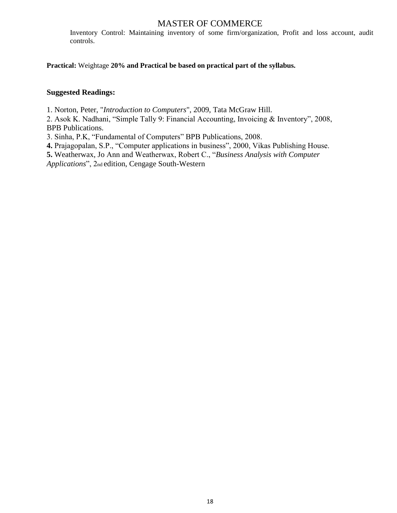Inventory Control: Maintaining inventory of some firm/organization, Profit and loss account, audit controls.

**Practical:** Weightage **20% and Practical be based on practical part of the syllabus.**

### **Suggested Readings:**

1. Norton, Peter, "*Introduction to Computers*", 2009, Tata McGraw Hill.

2. Asok K. Nadhani, "Simple Tally 9: Financial Accounting, Invoicing & Inventory", 2008, BPB Publications.

3. Sinha, P.K, "Fundamental of Computers" BPB Publications, 2008.

4. Prajagopalan, S.P., "Computer applications in business", 2000, Vikas Publishing House.

5. Weatherwax, Jo Ann and Weatherwax, Robert C., "Business Analysis with Computer

*Applications*‖, 2nd edition, Cengage South-Western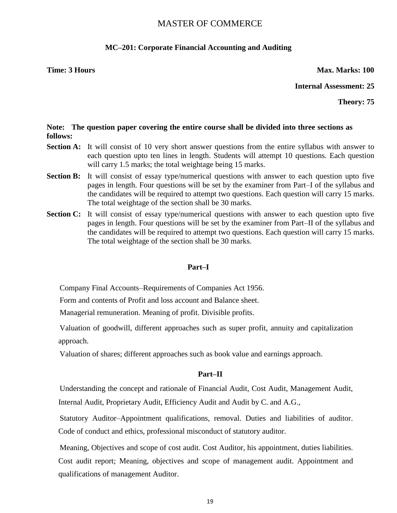# **MC–201: Corporate Financial Accounting and Auditing**

**Time: 3 Hours Max. Marks: 100** 

**Internal Assessment: 25**

**Theory: 75**

### **Note: The question paper covering the entire course shall be divided into three sections as follows:**

- **Section A:** It will consist of 10 very short answer questions from the entire syllabus with answer to each question upto ten lines in length. Students will attempt 10 questions. Each question will carry 1.5 marks; the total weightage being 15 marks.
- **Section B:** It will consist of essay type/numerical questions with answer to each question upto five pages in length. Four questions will be set by the examiner from Part–I of the syllabus and the candidates will be required to attempt two questions. Each question will carry 15 marks. The total weightage of the section shall be 30 marks.
- **Section C:** It will consist of essay type/numerical questions with answer to each question upto five pages in length. Four questions will be set by the examiner from Part–II of the syllabus and the candidates will be required to attempt two questions. Each question will carry 15 marks. The total weightage of the section shall be 30 marks.

### **Part–I**

Company Final Accounts–Requirements of Companies Act 1956.

Form and contents of Profit and loss account and Balance sheet.

Managerial remuneration. Meaning of profit. Divisible profits.

Valuation of goodwill, different approaches such as super profit, annuity and capitalization approach.

Valuation of shares; different approaches such as book value and earnings approach.

### **Part–II**

Understanding the concept and rationale of Financial Audit, Cost Audit, Management Audit, Internal Audit, Proprietary Audit, Efficiency Audit and Audit by C. and A.G.,

Statutory Auditor–Appointment qualifications, removal. Duties and liabilities of auditor. Code of conduct and ethics, professional misconduct of statutory auditor.

Meaning, Objectives and scope of cost audit. Cost Auditor, his appointment, duties liabilities. Cost audit report; Meaning, objectives and scope of management audit. Appointment and qualifications of management Auditor.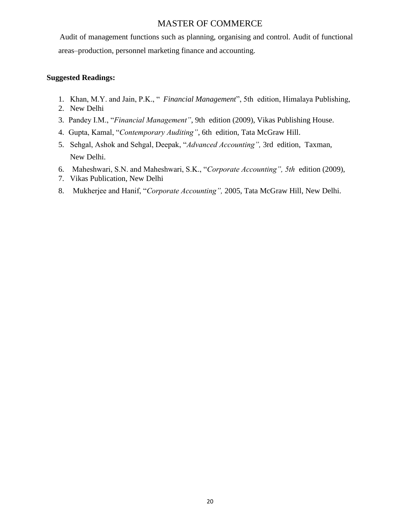Audit of management functions such as planning, organising and control. Audit of functional areas–production, personnel marketing finance and accounting.

- 1. Khan, M.Y. and Jain, P.K., " Financial Management", 5th edition, Himalaya Publishing,
- 2. New Delhi
- 3. Pandey I.M., "*Financial Management"*, 9th edition (2009), Vikas Publishing House.
- 4. Gupta, Kamal, "Contemporary Auditing", 6th edition, Tata McGraw Hill.
- 5. Sehgal, Ashok and Sehgal, Deepak, "Advanced Accounting", 3rd edition, Taxman, New Delhi.
- 6. Maheshwari, S.N. and Maheshwari, S.K., "Corporate Accounting", 5th edition (2009),
- 7. Vikas Publication, New Delhi
- 8. Mukherjee and Hanif, "Corporate Accounting", 2005, Tata McGraw Hill, New Delhi.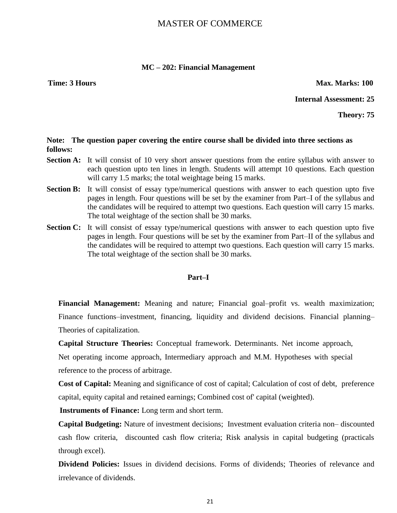### **MC – 202: Financial Management**

**Time: 3 Hours Max. Marks: 100** 

**Internal Assessment: 25**

**Theory: 75**

### **Note: The question paper covering the entire course shall be divided into three sections as follows:**

- **Section A:** It will consist of 10 very short answer questions from the entire syllabus with answer to each question upto ten lines in length. Students will attempt 10 questions. Each question will carry 1.5 marks; the total weightage being 15 marks.
- **Section B:** It will consist of essay type/numerical questions with answer to each question upto five pages in length. Four questions will be set by the examiner from Part–I of the syllabus and the candidates will be required to attempt two questions. Each question will carry 15 marks. The total weightage of the section shall be 30 marks.
- **Section C:** It will consist of essay type/numerical questions with answer to each question upto five pages in length. Four questions will be set by the examiner from Part–II of the syllabus and the candidates will be required to attempt two questions. Each question will carry 15 marks. The total weightage of the section shall be 30 marks.

# **Part–I**

**Financial Management:** Meaning and nature; Financial goal–profit vs. wealth maximization; Finance functions–investment, financing, liquidity and dividend decisions. Financial planning– Theories of capitalization.

**Capital Structure Theories:** Conceptual framework. Determinants. Net income approach,

Net operating income approach, Intermediary approach and M.M. Hypotheses with special reference to the process of arbitrage.

**Cost of Capital:** Meaning and significance of cost of capital; Calculation of cost of debt, preference capital, equity capital and retained earnings; Combined cost of' capital (weighted).

**Instruments of Finance:** Long term and short term.

**Capital Budgeting:** Nature of investment decisions; Investment evaluation criteria non– discounted cash flow criteria, discounted cash flow criteria; Risk analysis in capital budgeting (practicals through excel).

**Dividend Policies:** Issues in dividend decisions. Forms of dividends; Theories of relevance and irrelevance of dividends.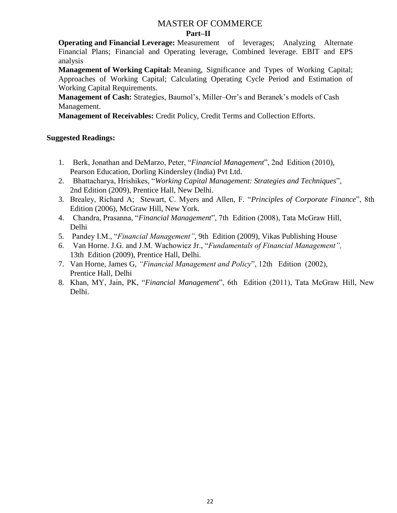# MASTER OF COMMERCE **Part–II**

**Operating and Financial Leverage:** Measurement of leverages; Analyzing Alternate Financial Plans; Financial and Operating leverage, Combined leverage. EBIT and EPS analysis

**Management of Working Capital:** Meaning, Significance and Types of Working Capital; Approaches of Working Capital; Calculating Operating Cycle Period and Estimation of Working Capital Requirements.

**Management of Cash:** Strategies, Baumol's, Miller–Orr's and Beranek's models of Cash Management.

**Management of Receivables:** Credit Policy, Credit Terms and Collection Efforts.

- 1. Berk, Jonathan and DeMarzo, Peter, "Financial Management", 2nd Edition (2010), Pearson Education, Dorling Kindersley (India) Pvt Ltd.
- 2. Bhattacharya, Hrishikes, "Working Capital Management: Strategies and Techniques", 2nd Edition (2009), Prentice Hall, New Delhi.
- 3. Brealey, Richard A; Stewart, C. Myers and Allen, F. "*Principles of Corporate Finance*", 8th Edition (2006), McGraw Hill, New York.
- 4. Chandra, Prasanna, "Financial Management", 7th Edition (2008), Tata McGraw Hill, Delhi
- 5. Pandey I.M., "Financial Management", 9th Edition (2009), Vikas Publishing House
- 6. Van Horne. J.G. and J.M. Wachowicz Jr., "Fundamentals of Financial Management", 13th Edition (2009), Prentice Hall, Delhi.
- 7. Van Horne, James G, "Financial Management and Policy", 12th Edition (2002), Prentice Hall, Delhi
- 8. Khan, MY, Jain, PK, "Financial Management", 6th Edition (2011), Tata McGraw Hill, New Delhi.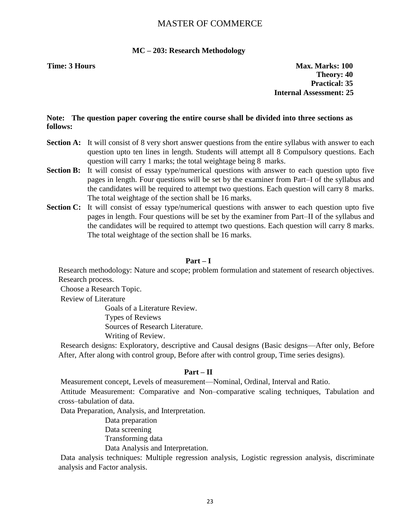### **MC – 203: Research Methodology**

**Time: 3 Hours Max. Marks: 100 Theory: 40 Practical: 35 Internal Assessment: 25**

### **Note: The question paper covering the entire course shall be divided into three sections as follows:**

- **Section A:** It will consist of 8 very short answer questions from the entire syllabus with answer to each question upto ten lines in length. Students will attempt all 8 Compulsory questions. Each question will carry 1 marks; the total weightage being 8 marks.
- **Section B:** It will consist of essay type/numerical questions with answer to each question upto five pages in length. Four questions will be set by the examiner from Part–I of the syllabus and the candidates will be required to attempt two questions. Each question will carry 8 marks. The total weightage of the section shall be 16 marks.
- **Section C:** It will consist of essay type/numerical questions with answer to each question upto five pages in length. Four questions will be set by the examiner from Part–II of the syllabus and the candidates will be required to attempt two questions. Each question will carry 8 marks. The total weightage of the section shall be 16 marks.

### **Part – I**

Research methodology: Nature and scope; problem formulation and statement of research objectives. Research process.

Choose a Research Topic.

Review of Literature

Goals of a Literature Review.

Types of Reviews

Sources of Research Literature.

Writing of Review.

Research designs: Exploratory, descriptive and Causal designs (Basic designs—After only, Before After, After along with control group, Before after with control group, Time series designs).

### **Part – II**

Measurement concept, Levels of measurement—Nominal, Ordinal, Interval and Ratio.

Attitude Measurement: Comparative and Non–comparative scaling techniques, Tabulation and cross–tabulation of data.

Data Preparation, Analysis, and Interpretation.

Data preparation Data screening Transforming data Data Analysis and Interpretation.

Data analysis techniques: Multiple regression analysis, Logistic regression analysis, discriminate analysis and Factor analysis.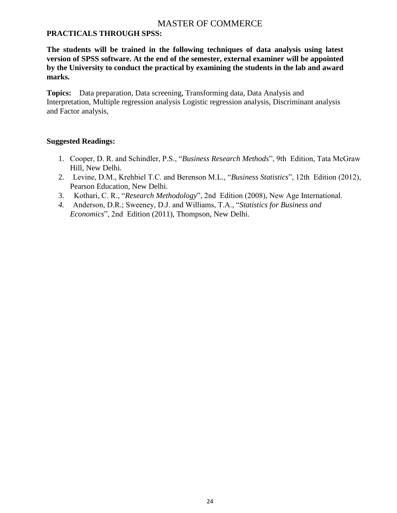# **PRACTICALS THROUGH SPSS:**

**The students will be trained in the following techniques of data analysis using latest version of SPSS software. At the end of the semester, external examiner will be appointed by the University to conduct the practical by examining the students in the lab and award marks.** 

**Topics:** Data preparation, Data screening, Transforming data, Data Analysis and Interpretation, Multiple regression analysis Logistic regression analysis, Discriminant analysis and Factor analysis,

- 1. Cooper, D. R. and Schindler, P.S., "Business Research Methods", 9th Edition, Tata McGraw Hill, New Delhi.
- 2. Levine, D.M., Krehbiel T.C. and Berenson M.L., "Business Statistics", 12th Edition (2012), Pearson Education, New Delhi.
- 3. Kothari, C. R., "Research Methodology", 2nd Edition (2008), New Age International.
- 4. Anderson, D.R.; Sweeney, D.J. and Williams, T.A., "Statistics for Business and *Economics*‖, 2nd Edition (2011), Thompson, New Delhi.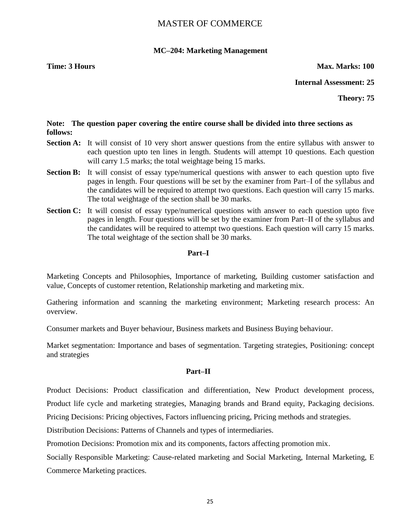# **MC–204: Marketing Management**

### **Time: 3 Hours Max. Marks: 100**

# **Internal Assessment: 25**

**Theory: 75**

# **Note: The question paper covering the entire course shall be divided into three sections as follows:**

- **Section A:** It will consist of 10 very short answer questions from the entire syllabus with answer to each question upto ten lines in length. Students will attempt 10 questions. Each question will carry 1.5 marks; the total weightage being 15 marks.
- **Section B:** It will consist of essay type/numerical questions with answer to each question upto five pages in length. Four questions will be set by the examiner from Part–I of the syllabus and the candidates will be required to attempt two questions. Each question will carry 15 marks. The total weightage of the section shall be 30 marks.
- **Section C:** It will consist of essay type/numerical questions with answer to each question upto five pages in length. Four questions will be set by the examiner from Part–II of the syllabus and the candidates will be required to attempt two questions. Each question will carry 15 marks. The total weightage of the section shall be 30 marks.

### **Part–I**

Marketing Concepts and Philosophies, Importance of marketing, Building customer satisfaction and value, Concepts of customer retention, Relationship marketing and marketing mix.

Gathering information and scanning the marketing environment; Marketing research process: An overview.

Consumer markets and Buyer behaviour, Business markets and Business Buying behaviour.

Market segmentation: Importance and bases of segmentation. Targeting strategies, Positioning: concept and strategies

# **Part–II**

Product Decisions: Product classification and differentiation, New Product development process, Product life cycle and marketing strategies, Managing brands and Brand equity, Packaging decisions. Pricing Decisions: Pricing objectives, Factors influencing pricing, Pricing methods and strategies.

Distribution Decisions: Patterns of Channels and types of intermediaries.

Promotion Decisions: Promotion mix and its components, factors affecting promotion mix.

Socially Responsible Marketing: Cause-related marketing and Social Marketing, Internal Marketing, E Commerce Marketing practices.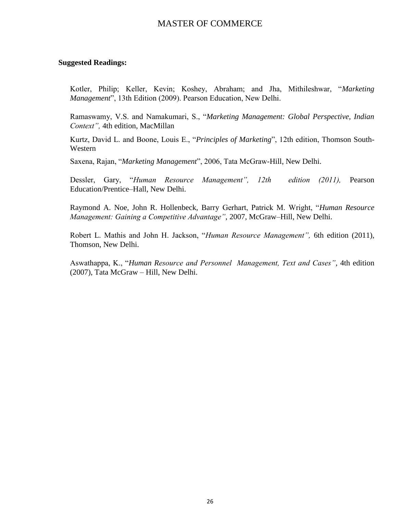### **Suggested Readings:**

Kotler, Philip; Keller, Kevin; Koshey, Abraham; and Jha, Mithileshwar, "Marketing *Management*", 13th Edition (2009). Pearson Education, New Delhi.

Ramaswamy, V.S. and Namakumari, S., "Marketing Management: Global Perspective, Indian *Context",* 4th edition, MacMillan

Kurtz, David L. and Boone, Louis E., "Principles of Marketing", 12th edition, Thomson South-Western

Saxena, Rajan, "Marketing Management", 2006, Tata McGraw-Hill, New Delhi.

Dessler, Gary, "Human Resource Management", 12th edition (2011), Pearson Education/Prentice–Hall, New Delhi.

Raymond A. Noe, John R. Hollenbeck, Barry Gerhart, Patrick M. Wright, "Human Resource *Management: Gaining a Competitive Advantage"*, 2007, McGraw–Hill, New Delhi.

Robert L. Mathis and John H. Jackson, "*Human Resource Management*", 6th edition (2011), Thomson, New Delhi.

Aswathappa, K., "Human Resource and Personnel Management, Text and Cases", 4th edition (2007), Tata McGraw – Hill, New Delhi.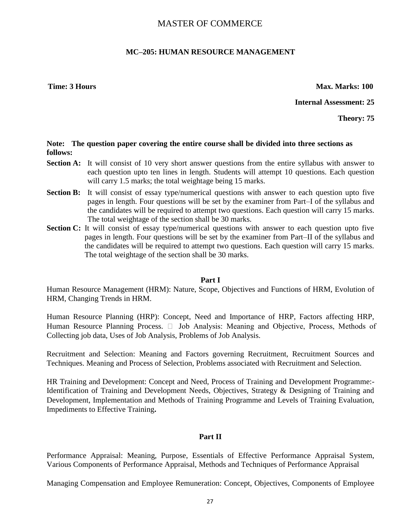# **MC–205: HUMAN RESOURCE MANAGEMENT**

**Time: 3 Hours Max. Marks: 100** 

**Internal Assessment: 25**

**Theory: 75**

### **Note: The question paper covering the entire course shall be divided into three sections as follows:**

- **Section A:** It will consist of 10 very short answer questions from the entire syllabus with answer to each question upto ten lines in length. Students will attempt 10 questions. Each question will carry 1.5 marks; the total weightage being 15 marks.
- **Section B:** It will consist of essay type/numerical questions with answer to each question upto five pages in length. Four questions will be set by the examiner from Part–I of the syllabus and the candidates will be required to attempt two questions. Each question will carry 15 marks. The total weightage of the section shall be 30 marks.
- **Section C:** It will consist of essay type/numerical questions with answer to each question upto five pages in length. Four questions will be set by the examiner from Part–II of the syllabus and the candidates will be required to attempt two questions. Each question will carry 15 marks. The total weightage of the section shall be 30 marks.

### **Part I**

Human Resource Management (HRM): Nature, Scope, Objectives and Functions of HRM, Evolution of HRM, Changing Trends in HRM.

Human Resource Planning (HRP): Concept, Need and Importance of HRP, Factors affecting HRP, Human Resource Planning Process.  $\Box$  Job Analysis: Meaning and Objective, Process, Methods of Collecting job data, Uses of Job Analysis, Problems of Job Analysis.

Recruitment and Selection: Meaning and Factors governing Recruitment, Recruitment Sources and Techniques. Meaning and Process of Selection, Problems associated with Recruitment and Selection.

HR Training and Development: Concept and Need, Process of Training and Development Programme:- Identification of Training and Development Needs, Objectives, Strategy & Designing of Training and Development, Implementation and Methods of Training Programme and Levels of Training Evaluation, Impediments to Effective Training**.**

# **Part II**

Performance Appraisal: Meaning, Purpose, Essentials of Effective Performance Appraisal System, Various Components of Performance Appraisal, Methods and Techniques of Performance Appraisal

Managing Compensation and Employee Remuneration: Concept, Objectives, Components of Employee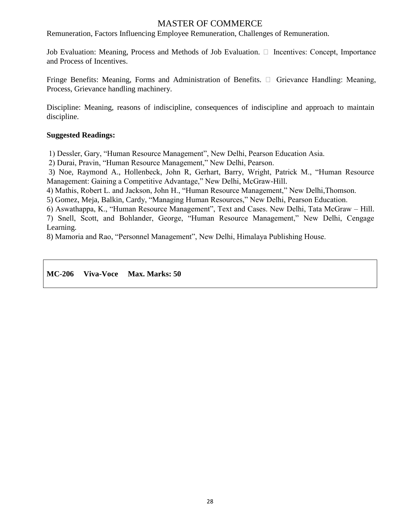Remuneration, Factors Influencing Employee Remuneration, Challenges of Remuneration.

Job Evaluation: Meaning, Process and Methods of Job Evaluation.  $\Box$  Incentives: Concept, Importance and Process of Incentives.

Fringe Benefits: Meaning, Forms and Administration of Benefits.  $\Box$  Grievance Handling: Meaning, Process, Grievance handling machinery.

Discipline: Meaning, reasons of indiscipline, consequences of indiscipline and approach to maintain discipline.

# **Suggested Readings:**

1) Dessler, Gary, "Human Resource Management", New Delhi, Pearson Education Asia.

2) Durai, Pravin, "Human Resource Management," New Delhi, Pearson.

3) Noe, Raymond A., Hollenbeck, John R. Gerhart, Barry, Wright, Patrick M., "Human Resource Management: Gaining a Competitive Advantage," New Delhi, McGraw-Hill.

4) Mathis, Robert L. and Jackson, John H., "Human Resource Management," New Delhi, Thomson.

5) Gomez, Meja, Balkin, Cardy, "Managing Human Resources," New Delhi, Pearson Education.

6) Aswathappa, K., "Human Resource Management", Text and Cases. New Delhi, Tata McGraw – Hill.

7) Snell, Scott, and Bohlander, George, "Human Resource Management," New Delhi, Cengage Learning.

8) Mamoria and Rao, "Personnel Management", New Delhi, Himalaya Publishing House.

# **MC-206 Viva-Voce Max. Marks: 50**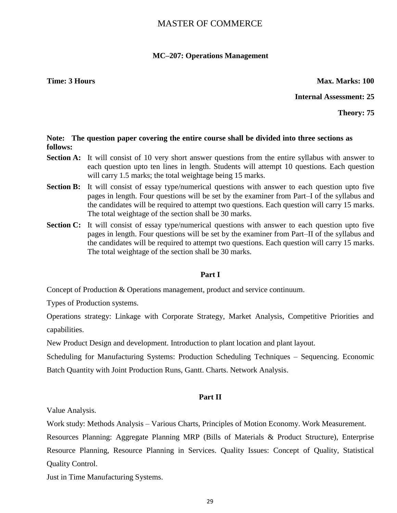# **MC–207: Operations Management**

**Time: 3 Hours Max. Marks: 100** 

**Internal Assessment: 25**

**Theory: 75**

# **Note: The question paper covering the entire course shall be divided into three sections as follows:**

- **Section A:** It will consist of 10 very short answer questions from the entire syllabus with answer to each question upto ten lines in length. Students will attempt 10 questions. Each question will carry 1.5 marks; the total weightage being 15 marks.
- **Section B:** It will consist of essay type/numerical questions with answer to each question upto five pages in length. Four questions will be set by the examiner from Part–I of the syllabus and the candidates will be required to attempt two questions. Each question will carry 15 marks. The total weightage of the section shall be 30 marks.
- **Section C:** It will consist of essay type/numerical questions with answer to each question upto five pages in length. Four questions will be set by the examiner from Part–II of the syllabus and the candidates will be required to attempt two questions. Each question will carry 15 marks. The total weightage of the section shall be 30 marks.

# **Part I**

Concept of Production & Operations management, product and service continuum.

Types of Production systems.

Operations strategy: Linkage with Corporate Strategy, Market Analysis, Competitive Priorities and capabilities.

New Product Design and development. Introduction to plant location and plant layout.

Scheduling for Manufacturing Systems: Production Scheduling Techniques – Sequencing. Economic

Batch Quantity with Joint Production Runs, Gantt. Charts. Network Analysis.

# **Part II**

Value Analysis.

Work study: Methods Analysis – Various Charts, Principles of Motion Economy. Work Measurement.

Resources Planning: Aggregate Planning MRP (Bills of Materials & Product Structure), Enterprise Resource Planning, Resource Planning in Services. Quality Issues: Concept of Quality, Statistical Quality Control.

Just in Time Manufacturing Systems.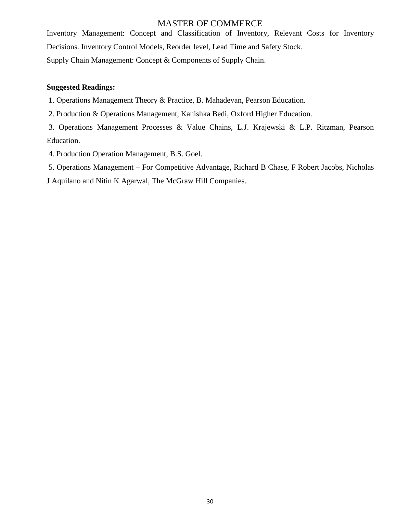Inventory Management: Concept and Classification of Inventory, Relevant Costs for Inventory Decisions. Inventory Control Models, Reorder level, Lead Time and Safety Stock. Supply Chain Management: Concept & Components of Supply Chain.

# **Suggested Readings:**

1. Operations Management Theory & Practice, B. Mahadevan, Pearson Education.

2. Production & Operations Management, Kanishka Bedi, Oxford Higher Education.

3. Operations Management Processes & Value Chains, L.J. Krajewski & L.P. Ritzman, Pearson Education.

4. Production Operation Management, B.S. Goel.

5. Operations Management – For Competitive Advantage, Richard B Chase, F Robert Jacobs, Nicholas

J Aquilano and Nitin K Agarwal, The McGraw Hill Companies.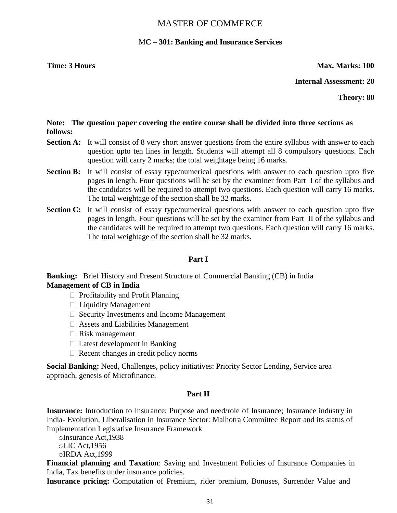# M**C – 301: Banking and Insurance Services**

**Time: 3 Hours Max. Marks: 100** 

**Internal Assessment: 20**

**Theory: 80**

# **Note: The question paper covering the entire course shall be divided into three sections as follows:**

- **Section A:** It will consist of 8 very short answer questions from the entire syllabus with answer to each question upto ten lines in length. Students will attempt all 8 compulsory questions. Each question will carry 2 marks; the total weightage being 16 marks.
- **Section B:** It will consist of essay type/numerical questions with answer to each question upto five pages in length. Four questions will be set by the examiner from Part–I of the syllabus and the candidates will be required to attempt two questions. Each question will carry 16 marks. The total weightage of the section shall be 32 marks.
- **Section C:** It will consist of essay type/numerical questions with answer to each question upto five pages in length. Four questions will be set by the examiner from Part–II of the syllabus and the candidates will be required to attempt two questions. Each question will carry 16 marks. The total weightage of the section shall be 32 marks.

# **Part I**

**Banking:** Brief History and Present Structure of Commercial Banking (CB) in India **Management of CB in India** 

- $\Box$  Profitability and Profit Planning
- $\Box$  Liquidity Management
- $\Box$  Security Investments and Income Management
- Assets and Liabilities Management
- $\Box$  Risk management
- $\Box$  Latest development in Banking
- $\Box$  Recent changes in credit policy norms

**Social Banking:** Need, Challenges, policy initiatives: Priority Sector Lending, Service area approach, genesis of Microfinance.

# **Part II**

**Insurance:** Introduction to Insurance; Purpose and need/role of Insurance; Insurance industry in India- Evolution, Liberalisation in Insurance Sector: Malhotra Committee Report and its status of Implementation Legislative Insurance Framework

oInsurance Act,1938 oLIC Act,1956 oIRDA Act,1999

**Financial planning and Taxation**: Saving and Investment Policies of Insurance Companies in India, Tax benefits under insurance policies.

**Insurance pricing:** Computation of Premium, rider premium, Bonuses, Surrender Value and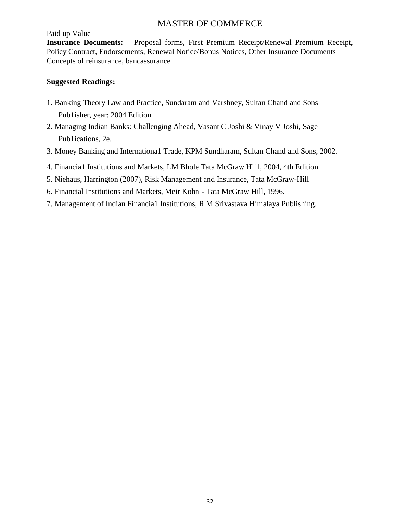Paid up Value

**Insurance Documents:** Proposal forms, First Premium Receipt/Renewal Premium Receipt, Policy Contract, Endorsements, Renewal Notice/Bonus Notices, Other Insurance Documents Concepts of reinsurance, bancassurance

- 1. Banking Theory Law and Practice, Sundaram and Varshney, Sultan Chand and Sons Pub1isher, year: 2004 Edition
- 2. Managing Indian Banks: Challenging Ahead, Vasant C Joshi & Vinay V Joshi, Sage Pub1ications, 2e.
- 3. Money Banking and Internationa1 Trade, KPM Sundharam, Sultan Chand and Sons, 2002.
- 4. Financia1 Institutions and Markets, LM Bhole Tata McGraw Hi1l, 2004, 4th Edition
- 5. Niehaus, Harrington (2007), Risk Management and Insurance, Tata McGraw-Hill
- 6. Financial Institutions and Markets, Meir Kohn Tata McGraw Hill, 1996.
- 7. Management of Indian Financia1 Institutions, R M Srivastava Himalaya Publishing.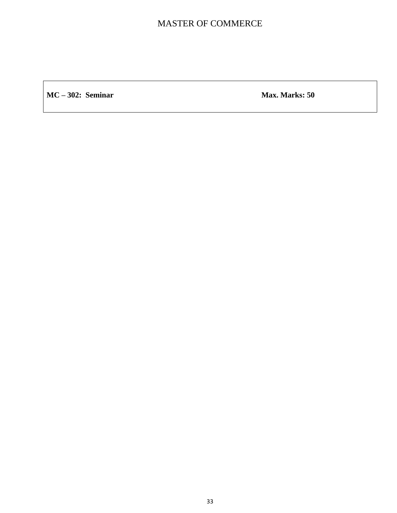**MC** – **302:** Seminar Max. Marks: 50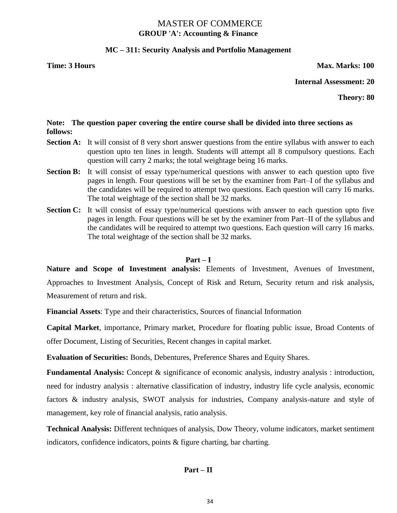# MASTER OF COMMERCE **GROUP 'A': Accounting & Finance**

# **MC – 311: Security Analysis and Portfolio Management**

### **Time: 3 Hours Max. Marks: 100**

### **Internal Assessment: 20**

**Theory: 80**

# **Note: The question paper covering the entire course shall be divided into three sections as follows:**

- **Section A:** It will consist of 8 very short answer questions from the entire syllabus with answer to each question upto ten lines in length. Students will attempt all 8 compulsory questions. Each question will carry 2 marks; the total weightage being 16 marks.
- **Section B:** It will consist of essay type/numerical questions with answer to each question upto five pages in length. Four questions will be set by the examiner from Part–I of the syllabus and the candidates will be required to attempt two questions. Each question will carry 16 marks. The total weightage of the section shall be 32 marks.
- Section C: It will consist of essay type/numerical questions with answer to each question upto five pages in length. Four questions will be set by the examiner from Part–II of the syllabus and the candidates will be required to attempt two questions. Each question will carry 16 marks. The total weightage of the section shall be 32 marks.

# **Part – I**

**Nature and Scope of Investment analysis:** Elements of Investment, Avenues of Investment, Approaches to Investment Analysis, Concept of Risk and Return, Security return and risk analysis, Measurement of return and risk.

**Financial Assets**: Type and their characteristics, Sources of financial Information

**Capital Market**, importance, Primary market, Procedure for floating public issue, Broad Contents of offer Document, Listing of Securities, Recent changes in capital market.

**Evaluation of Securities:** Bonds, Debentures, Preference Shares and Equity Shares.

**Fundamental Analysis:** Concept & significance of economic analysis, industry analysis : introduction, need for industry analysis : alternative classification of industry, industry life cycle analysis, economic factors & industry analysis, SWOT analysis for industries, Company analysis-nature and style of management, key role of financial analysis, ratio analysis.

**Technical Analysis:** Different techniques of analysis, Dow Theory, volume indicators, market sentiment indicators, confidence indicators, points & figure charting, bar charting.

# **Part – II**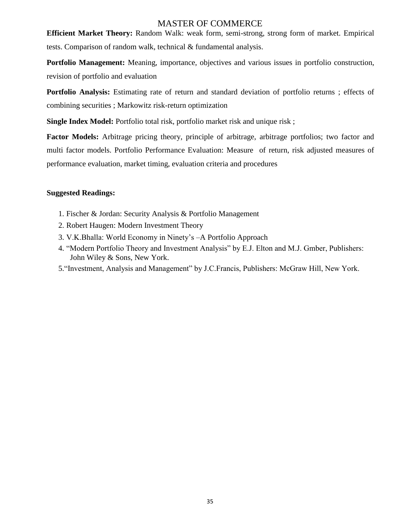**Efficient Market Theory:** Random Walk: weak form, semi-strong, strong form of market. Empirical tests. Comparison of random walk, technical & fundamental analysis.

**Portfolio Management:** Meaning, importance, objectives and various issues in portfolio construction, revision of portfolio and evaluation

**Portfolio Analysis:** Estimating rate of return and standard deviation of portfolio returns ; effects of combining securities ; Markowitz risk-return optimization

**Single Index Model:** Portfolio total risk, portfolio market risk and unique risk;

**Factor Models:** Arbitrage pricing theory, principle of arbitrage, arbitrage portfolios; two factor and multi factor models. Portfolio Performance Evaluation: Measure of return, risk adjusted measures of performance evaluation, market timing, evaluation criteria and procedures

- 1. Fischer & Jordan: Security Analysis & Portfolio Management
- 2. Robert Haugen: Modern Investment Theory
- 3. V.K.Bhalla: World Economy in Ninety's –A Portfolio Approach
- 4. "Modern Portfolio Theory and Investment Analysis" by E.J. Elton and M.J. Gmber, Publishers: John Wiley & Sons, New York.
- 5. "Investment, Analysis and Management" by J.C.Francis, Publishers: McGraw Hill, New York.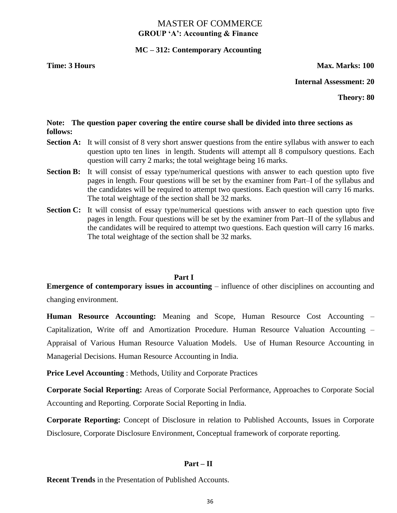# MASTER OF COMMERCE **GROUP 'A': Accounting & Finance**

# **MC – 312: Contemporary Accounting**

### **Time: 3 Hours Max. Marks: 100**

### **Internal Assessment: 20**

**Theory: 80**

# **Note: The question paper covering the entire course shall be divided into three sections as follows:**

- **Section A:** It will consist of 8 very short answer questions from the entire syllabus with answer to each question upto ten lines in length. Students will attempt all 8 compulsory questions. Each question will carry 2 marks; the total weightage being 16 marks.
- **Section B:** It will consist of essay type/numerical questions with answer to each question upto five pages in length. Four questions will be set by the examiner from Part–I of the syllabus and the candidates will be required to attempt two questions. Each question will carry 16 marks. The total weightage of the section shall be 32 marks.
- **Section C:** It will consist of essay type/numerical questions with answer to each question upto five pages in length. Four questions will be set by the examiner from Part–II of the syllabus and the candidates will be required to attempt two questions. Each question will carry 16 marks. The total weightage of the section shall be 32 marks.

### **Part I**

**Emergence of contemporary issues in accounting** – influence of other disciplines on accounting and

changing environment.

**Human Resource Accounting:** Meaning and Scope, Human Resource Cost Accounting – Capitalization, Write off and Amortization Procedure. Human Resource Valuation Accounting – Appraisal of Various Human Resource Valuation Models. Use of Human Resource Accounting in Managerial Decisions. Human Resource Accounting in India.

**Price Level Accounting** : Methods, Utility and Corporate Practices

**Corporate Social Reporting:** Areas of Corporate Social Performance, Approaches to Corporate Social Accounting and Reporting. Corporate Social Reporting in India.

**Corporate Reporting:** Concept of Disclosure in relation to Published Accounts, Issues in Corporate Disclosure, Corporate Disclosure Environment, Conceptual framework of corporate reporting.

# **Part – II**

**Recent Trends** in the Presentation of Published Accounts.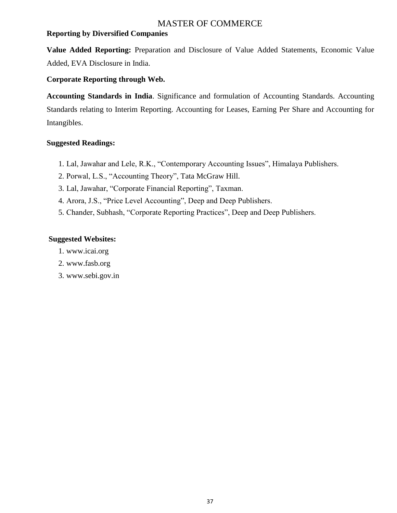# **Reporting by Diversified Companies**

**Value Added Reporting:** Preparation and Disclosure of Value Added Statements, Economic Value Added, EVA Disclosure in India.

# **Corporate Reporting through Web.**

**Accounting Standards in India**. Significance and formulation of Accounting Standards. Accounting Standards relating to Interim Reporting. Accounting for Leases, Earning Per Share and Accounting for Intangibles.

# **Suggested Readings:**

- 1. Lal, Jawahar and Lele, R.K., "Contemporary Accounting Issues", Himalaya Publishers.
- 2. Porwal, L.S., "Accounting Theory", Tata McGraw Hill.
- 3. Lal, Jawahar, "Corporate Financial Reporting", Taxman.
- 4. Arora, J.S., "Price Level Accounting", Deep and Deep Publishers.
- 5. Chander, Subhash, "Corporate Reporting Practices", Deep and Deep Publishers.

# **Suggested Websites:**

- 1. www.icai.org
- 2. www.fasb.org
- 3. www.sebi.gov.in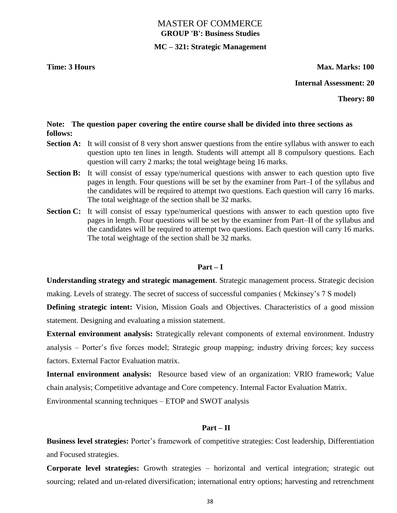# MASTER OF COMMERCE **GROUP 'B': Business Studies**

## **MC – 321: Strategic Management**

#### **Time: 3 Hours Max. Marks: 100**

#### **Internal Assessment: 20**

**Theory: 80**

### **Note: The question paper covering the entire course shall be divided into three sections as follows:**

- **Section A:** It will consist of 8 very short answer questions from the entire syllabus with answer to each question upto ten lines in length. Students will attempt all 8 compulsory questions. Each question will carry 2 marks; the total weightage being 16 marks.
- **Section B:** It will consist of essay type/numerical questions with answer to each question upto five pages in length. Four questions will be set by the examiner from Part–I of the syllabus and the candidates will be required to attempt two questions. Each question will carry 16 marks. The total weightage of the section shall be 32 marks.
- **Section C:** It will consist of essay type/numerical questions with answer to each question upto five pages in length. Four questions will be set by the examiner from Part–II of the syllabus and the candidates will be required to attempt two questions. Each question will carry 16 marks. The total weightage of the section shall be 32 marks.

#### **Part – I**

**Understanding strategy and strategic management**. Strategic management process. Strategic decision

making. Levels of strategy. The secret of success of successful companies ( Mckinsey's 7 S model)

**Defining strategic intent:** Vision, Mission Goals and Objectives. Characteristics of a good mission statement. Designing and evaluating a mission statement.

**External environment analysis:** Strategically relevant components of external environment. Industry analysis – Porter's five forces model; Strategic group mapping; industry driving forces; key success factors. External Factor Evaluation matrix.

**Internal environment analysis:** Resource based view of an organization: VRIO framework; Value chain analysis; Competitive advantage and Core competency. Internal Factor Evaluation Matrix.

Environmental scanning techniques – ETOP and SWOT analysis

#### **Part – II**

**Business level strategies:** Porter's framework of competitive strategies: Cost leadership, Differentiation and Focused strategies.

**Corporate level strategies:** Growth strategies – horizontal and vertical integration; strategic out sourcing; related and un-related diversification; international entry options; harvesting and retrenchment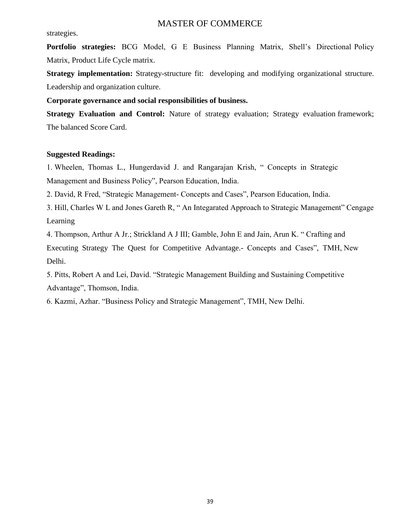#### strategies.

**Portfolio strategies:** BCG Model, G E Business Planning Matrix, Shell's Directional Policy Matrix, Product Life Cycle matrix.

**Strategy implementation:** Strategy-structure fit: developing and modifying organizational structure. Leadership and organization culture.

**Corporate governance and social responsibilities of business.**

**Strategy Evaluation and Control:** Nature of strategy evaluation; Strategy evaluation framework; The balanced Score Card.

#### **Suggested Readings:**

1. Wheelen, Thomas L., Hungerdavid J. and Rangarajan Krish, "Concepts in Strategic Management and Business Policy", Pearson Education, India.

2. David, R Fred, "Strategic Management- Concepts and Cases", Pearson Education, India.

3. Hill, Charles W L and Jones Gareth R, "An Integarated Approach to Strategic Management" Cengage Learning

4. Thompson, Arthur A Jr.; Strickland A J III; Gamble, John E and Jain, Arun K. "Crafting and Executing Strategy The Quest for Competitive Advantage.- Concepts and Cases", TMH, New Delhi.

5. Pitts, Robert A and Lei, David. "Strategic Management Building and Sustaining Competitive Advantage", Thomson, India.

6. Kazmi, Azhar. "Business Policy and Strategic Management", TMH, New Delhi.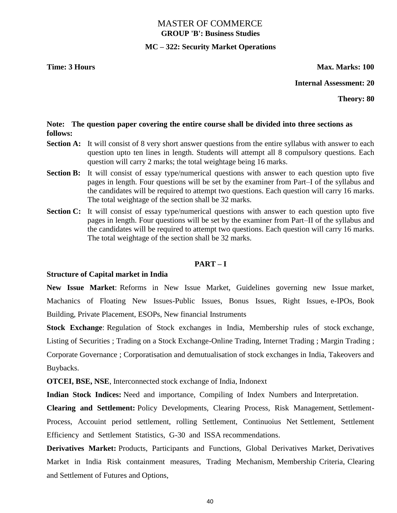# MASTER OF COMMERCE **GROUP 'B': Business Studies**

## **MC – 322: Security Market Operations**

#### **Time: 3 Hours Max. Marks: 100**

#### **Internal Assessment: 20**

**Theory: 80**

### **Note: The question paper covering the entire course shall be divided into three sections as follows:**

- **Section A:** It will consist of 8 very short answer questions from the entire syllabus with answer to each question upto ten lines in length. Students will attempt all 8 compulsory questions. Each question will carry 2 marks; the total weightage being 16 marks.
- **Section B:** It will consist of essay type/numerical questions with answer to each question upto five pages in length. Four questions will be set by the examiner from Part–I of the syllabus and the candidates will be required to attempt two questions. Each question will carry 16 marks. The total weightage of the section shall be 32 marks.
- **Section C:** It will consist of essay type/numerical questions with answer to each question upto five pages in length. Four questions will be set by the examiner from Part–II of the syllabus and the candidates will be required to attempt two questions. Each question will carry 16 marks. The total weightage of the section shall be 32 marks.

#### **PART – I**

#### **Structure of Capital market in India**

**New Issue Market**: Reforms in New Issue Market, Guidelines governing new Issue market, Machanics of Floating New Issues-Public Issues, Bonus Issues, Right Issues, e-IPOs, Book Building, Private Placement, ESOPs, New financial Instruments

**Stock Exchange**: Regulation of Stock exchanges in India, Membership rules of stock exchange, Listing of Securities ; Trading on a Stock Exchange-Online Trading, Internet Trading ; Margin Trading ; Corporate Governance ; Corporatisation and demutualisation of stock exchanges in India, Takeovers and Buybacks.

**OTCEI, BSE, NSE**, Interconnected stock exchange of India, Indonext

**Indian Stock Indices:** Need and importance, Compiling of Index Numbers and Interpretation.

**Clearing and Settlement:** Policy Developments, Clearing Process, Risk Management, Settlement-Process, Accouint period settlement, rolling Settlement, Continuoius Net Settlement, Settlement Efficiency and Settlement Statistics, G-30 and ISSA recommendations.

**Derivatives Market:** Products, Participants and Functions, Global Derivatives Market, Derivatives Market in India Risk containment measures, Trading Mechanism, Membership Criteria, Clearing and Settlement of Futures and Options,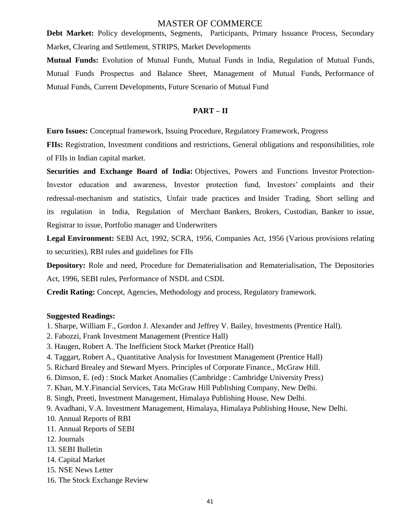**Debt Market:** Policy developments, Segments, Participants, Primary Issuance Process, Secondary Market, Clearing and Settlement, STRIPS, Market Developments

**Mutual Funds:** Evolution of Mutual Funds, Mutual Funds in India, Regulation of Mutual Funds, Mutual Funds Prospectus and Balance Sheet, Management of Mutual Funds, Performance of Mutual Funds, Current Developments, Future Scenario of Mutual Fund

#### **PART – II**

**Euro Issues:** Conceptual framework, Issuing Procedure, Regulatory Framework, Progress

**FIIs:** Registration, Investment conditions and restrictions, General obligations and responsibilities, role of FIIs in Indian capital market.

**Securities and Exchange Board of India:** Objectives, Powers and Functions Investor Protection-Investor education and awareness, Investor protection fund, Investors' complaints and their redressal-mechanism and statistics, Unfair trade practices and Insider Trading, Short selling and its regulation in India, Regulation of Merchant Bankers, Brokers, Custodian, Banker to issue, Registrar to issue, Portfolio manager and Underwriters

**Legal Environment:** SEBI Act, 1992, SCRA, 1956, Companies Act, 1956 (Various provisions relating to securities), RBI rules and guidelines for FIIs

**Depository:** Role and need, Procedure for Dematerialisation and Rematerialisation, The Depositories Act, 1996, SEBI rules, Performance of NSDL and CSDL

**Credit Rating:** Concept, Agencies, Methodology and process, Regulatory framework.

#### **Suggested Readings:**

- 1. Sharpe, William F., Gordon J. Alexander and Jeffrey V. Bailey, Investments (Prentice Hall).
- 2. Fabozzi, Frank Investment Management (Prentice Hall)
- 3. Haugen, Robert A. The Inefficient Stock Market (Prentice Hall)
- 4. Taggart, Robert A., Quantitative Analysis for Investment Management (Prentice Hall)
- 5. Richard Brealey and Steward Myers. Principles of Corporate Finance., McGraw Hill.
- 6. Dimson, E. (ed) : Stock Market Anomalies (Cambridge : Cambridge University Press)
- 7. Khan, M.Y.Financial Services, Tata McGraw Hill Publishing Company, New Delhi.
- 8. Singh, Preeti, Investment Management, Himalaya Publishing House, New Delhi.
- 9. Avadhani, V.A. Investment Management, Himalaya, Himalaya Publishing House, New Delhi.
- 10. Annual Reports of RBI
- 11. Annual Reports of SEBI
- 12. Journals
- 13. SEBI Bulletin
- 14. Capital Market
- 15. NSE News Letter
- 16. The Stock Exchange Review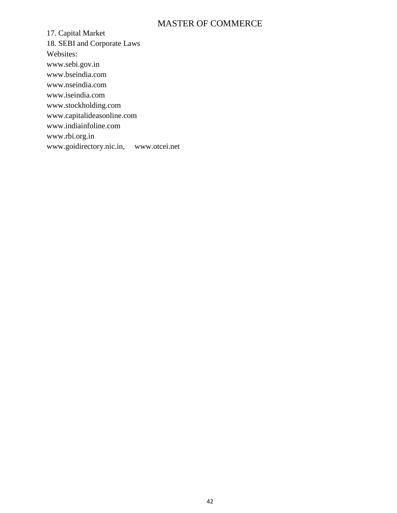17. Capital Market 18. SEBI and Corporate Laws Websites: www.sebi.gov.in www.bseindia.com www.nseindia.com www.iseindia.com www.stockholding.com www.capitalideasonline.com www.indiainfoline.com www.rbi.org.in www.goidirectory.nic.in, www.otcei.net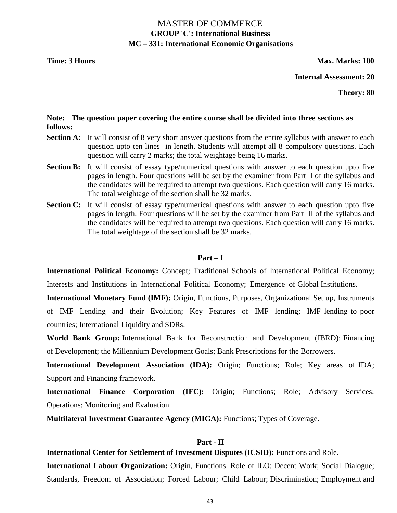# MASTER OF COMMERCE **GROUP 'C': International Business MC – 331: International Economic Organisations**

**Time: 3 Hours Max. Marks: 100** 

**Internal Assessment: 20**

**Theory: 80**

#### **Note: The question paper covering the entire course shall be divided into three sections as follows:**

- **Section A:** It will consist of 8 very short answer questions from the entire syllabus with answer to each question upto ten lines in length. Students will attempt all 8 compulsory questions. Each question will carry 2 marks; the total weightage being 16 marks.
- Section B: It will consist of essay type/numerical questions with answer to each question upto five pages in length. Four questions will be set by the examiner from Part–I of the syllabus and the candidates will be required to attempt two questions. Each question will carry 16 marks. The total weightage of the section shall be 32 marks.
- **Section C:** It will consist of essay type/numerical questions with answer to each question upto five pages in length. Four questions will be set by the examiner from Part–II of the syllabus and the candidates will be required to attempt two questions. Each question will carry 16 marks. The total weightage of the section shall be 32 marks.

#### **Part – I**

**International Political Economy:** Concept; Traditional Schools of International Political Economy; Interests and Institutions in International Political Economy; Emergence of Global Institutions.

**International Monetary Fund (IMF):** Origin, Functions, Purposes, Organizational Set up, Instruments of IMF Lending and their Evolution; Key Features of IMF lending; IMF lending to poor countries; International Liquidity and SDRs.

**World Bank Group:** International Bank for Reconstruction and Development (IBRD): Financing of Development; the Millennium Development Goals; Bank Prescriptions for the Borrowers.

**International Development Association (IDA):** Origin; Functions; Role; Key areas of IDA; Support and Financing framework.

**International Finance Corporation (IFC):** Origin; Functions; Role; Advisory Services; Operations; Monitoring and Evaluation.

**Multilateral Investment Guarantee Agency (MIGA):** Functions; Types of Coverage.

## **Part - II**

**International Center for Settlement of Investment Disputes (ICSID):** Functions and Role.

**International Labour Organization:** Origin, Functions. Role of ILO: Decent Work; Social Dialogue; Standards, Freedom of Association; Forced Labour; Child Labour; Discrimination; Employment and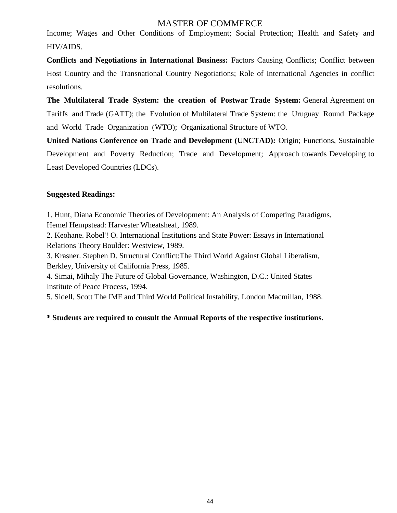Income; Wages and Other Conditions of Employment; Social Protection; Health and Safety and HIV/AIDS.

**Conflicts and Negotiations in International Business:** Factors Causing Conflicts; Conflict between Host Country and the Transnational Country Negotiations; Role of International Agencies in conflict resolutions.

**The Multilateral Trade System: the creation of Postwar Trade System:** General Agreement on Tariffs and Trade (GATT); the Evolution of Multilateral Trade System: the Uruguay Round Package and World Trade Organization (WTO); Organizational Structure of WTO.

**United Nations Conference on Trade and Development (UNCTAD):** Origin; Functions, Sustainable Development and Poverty Reduction; Trade and Development; Approach towards Developing to Least Developed Countries (LDCs).

# **Suggested Readings:**

1. Hunt, Diana Economic Theories of Development: An Analysis of Competing Paradigms, Hemel Hempstead: Harvester Wheatsheaf, 1989.

2. Keohane. Robel'! O. International Institutions and State Power: Essays in International Relations Theory Boulder: Westview, 1989.

3. Krasner. Stephen D. Structural Conflict:The Third World Against Global Liberalism, Berkley, University of California Press, 1985.

4. Simai, Mihaly The Future of Global Governance, Washington, D.C.: United States Institute of Peace Process, 1994.

5. Sidell, Scott The IMF and Third World Political Instability, London Macmillan, 1988.

# **\* Students are required to consult the Annual Reports of the respective institutions.**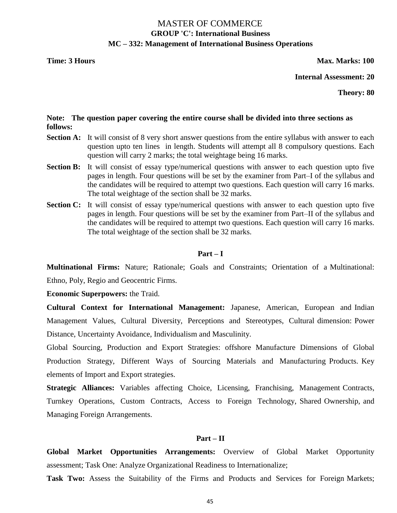# MASTER OF COMMERCE **GROUP 'C': International Business MC – 332: Management of International Business Operations**

#### **Time: 3 Hours Max. Marks: 100**

**Internal Assessment: 20**

**Theory: 80**

### **Note: The question paper covering the entire course shall be divided into three sections as follows:**

- **Section A:** It will consist of 8 very short answer questions from the entire syllabus with answer to each question upto ten lines in length. Students will attempt all 8 compulsory questions. Each question will carry 2 marks; the total weightage being 16 marks.
- **Section B:** It will consist of essay type/numerical questions with answer to each question upto five pages in length. Four questions will be set by the examiner from Part–I of the syllabus and the candidates will be required to attempt two questions. Each question will carry 16 marks. The total weightage of the section shall be 32 marks.
- Section C: It will consist of essay type/numerical questions with answer to each question upto five pages in length. Four questions will be set by the examiner from Part–II of the syllabus and the candidates will be required to attempt two questions. Each question will carry 16 marks. The total weightage of the section shall be 32 marks.

#### **Part – I**

**Multinational Firms:** Nature; Rationale; Goals and Constraints; Orientation of a Multinational: Ethno, Poly, Regio and Geocentric Firms.

**Economic Superpowers:** the Traid.

**Cultural Context for International Management:** Japanese, American, European and Indian Management Values, Cultural Diversity, Perceptions and Stereotypes, Cultural dimension: Power Distance, Uncertainty Avoidance, Individualism and Masculinity.

Global Sourcing, Production and Export Strategies: offshore Manufacture Dimensions of Global Production Strategy, Different Ways of Sourcing Materials and Manufacturing Products. Key elements of Import and Export strategies.

**Strategic Alliances:** Variables affecting Choice, Licensing, Franchising, Management Contracts, Turnkey Operations, Custom Contracts, Access to Foreign Technology, Shared Ownership, and Managing Foreign Arrangements.

#### **Part – II**

**Global Market Opportunities Arrangements:** Overview of Global Market Opportunity assessment; Task One: Analyze Organizational Readiness to Internationalize;

**Task Two:** Assess the Suitability of the Firms and Products and Services for Foreign Markets;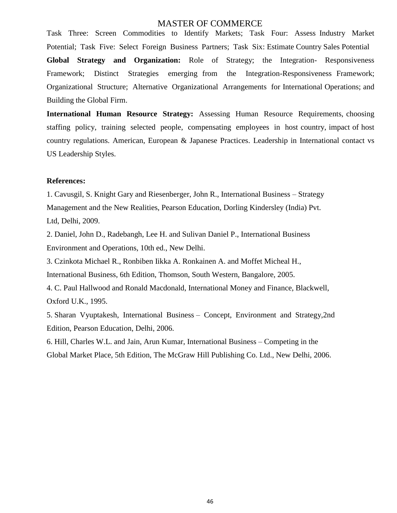Task Three: Screen Commodities to Identify Markets; Task Four: Assess Industry Market Potential; Task Five: Select Foreign Business Partners; Task Six: Estimate Country Sales Potential **Global Strategy and Organization:** Role of Strategy; the Integration- Responsiveness Framework; Distinct Strategies emerging from the Integration-Responsiveness Framework; Organizational Structure; Alternative Organizational Arrangements for International Operations; and Building the Global Firm.

**International Human Resource Strategy:** Assessing Human Resource Requirements, choosing staffing policy, training selected people, compensating employees in host country, impact of host country regulations. American, European & Japanese Practices. Leadership in International contact vs US Leadership Styles.

#### **References:**

1. Cavusgil, S. Knight Gary and Riesenberger, John R., International Business – Strategy Management and the New Realities, Pearson Education, Dorling Kindersley (India) Pvt. Ltd, Delhi, 2009.

2. Daniel, John D., Radebangh, Lee H. and Sulivan Daniel P., International Business Environment and Operations, 10th ed., New Delhi.

3. Czinkota Michael R., Ronbiben Iikka A. Ronkainen A. and Moffet Micheal H.,

International Business, 6th Edition, Thomson, South Western, Bangalore, 2005.

4. C. Paul Hallwood and Ronald Macdonald, International Money and Finance, Blackwell, Oxford U.K., 1995.

5. Sharan Vyuptakesh, International Business – Concept, Environment and Strategy,2nd Edition, Pearson Education, Delhi, 2006.

6. Hill, Charles W.L. and Jain, Arun Kumar, International Business – Competing in the Global Market Place, 5th Edition, The McGraw Hill Publishing Co. Ltd., New Delhi, 2006.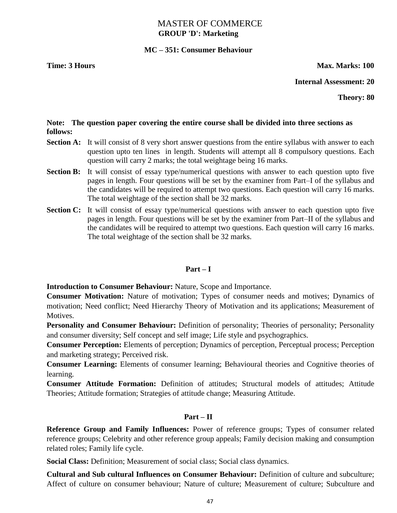# MASTER OF COMMERCE **GROUP 'D': Marketing**

## **MC – 351: Consumer Behaviour**

#### **Time: 3 Hours Max. Marks: 100**

#### **Internal Assessment: 20**

**Theory: 80**

## **Note: The question paper covering the entire course shall be divided into three sections as follows:**

- **Section A:** It will consist of 8 very short answer questions from the entire syllabus with answer to each question upto ten lines in length. Students will attempt all 8 compulsory questions. Each question will carry 2 marks; the total weightage being 16 marks.
- **Section B:** It will consist of essay type/numerical questions with answer to each question upto five pages in length. Four questions will be set by the examiner from Part–I of the syllabus and the candidates will be required to attempt two questions. Each question will carry 16 marks. The total weightage of the section shall be 32 marks.
- **Section C:** It will consist of essay type/numerical questions with answer to each question upto five pages in length. Four questions will be set by the examiner from Part–II of the syllabus and the candidates will be required to attempt two questions. Each question will carry 16 marks. The total weightage of the section shall be 32 marks.

#### **Part – I**

**Introduction to Consumer Behaviour:** Nature, Scope and Importance.

**Consumer Motivation:** Nature of motivation; Types of consumer needs and motives; Dynamics of motivation; Need conflict; Need Hierarchy Theory of Motivation and its applications; Measurement of Motives.

**Personality and Consumer Behaviour:** Definition of personality; Theories of personality; Personality and consumer diversity; Self concept and self image; Life style and psychographics.

**Consumer Perception:** Elements of perception; Dynamics of perception, Perceptual process; Perception and marketing strategy; Perceived risk.

**Consumer Learning:** Elements of consumer learning; Behavioural theories and Cognitive theories of learning.

**Consumer Attitude Formation:** Definition of attitudes; Structural models of attitudes; Attitude Theories; Attitude formation; Strategies of attitude change; Measuring Attitude.

### **Part – II**

**Reference Group and Family Influences:** Power of reference groups; Types of consumer related reference groups; Celebrity and other reference group appeals; Family decision making and consumption related roles; Family life cycle.

**Social Class:** Definition; Measurement of social class; Social class dynamics.

**Cultural and Sub cultural Influences on Consumer Behaviour:** Definition of culture and subculture: Affect of culture on consumer behaviour; Nature of culture; Measurement of culture; Subculture and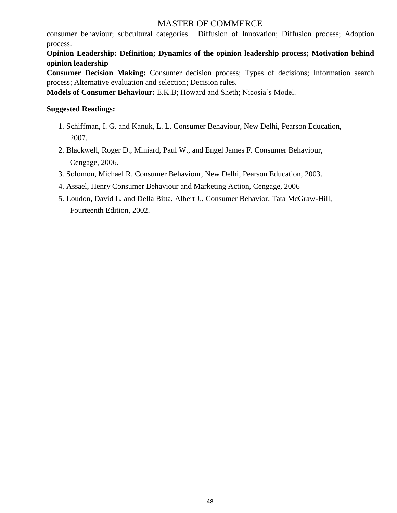consumer behaviour; subcultural categories. Diffusion of Innovation; Diffusion process; Adoption process.

**Opinion Leadership: Definition; Dynamics of the opinion leadership process; Motivation behind opinion leadership** 

**Consumer Decision Making:** Consumer decision process; Types of decisions; Information search process; Alternative evaluation and selection; Decision rules.

**Models of Consumer Behaviour:** E.K.B; Howard and Sheth; Nicosia's Model.

## **Suggested Readings:**

- 1. Schiffman, I. G. and Kanuk, L. L. Consumer Behaviour, New Delhi, Pearson Education, 2007.
- 2. Blackwell, Roger D., Miniard, Paul W., and Engel James F. Consumer Behaviour, Cengage, 2006.
- 3. Solomon, Michael R. Consumer Behaviour, New Delhi, Pearson Education, 2003.
- 4. Assael, Henry Consumer Behaviour and Marketing Action, Cengage, 2006
- 5. Loudon, David L. and Della Bitta, Albert J., Consumer Behavior, Tata McGraw-Hill, Fourteenth Edition, 2002.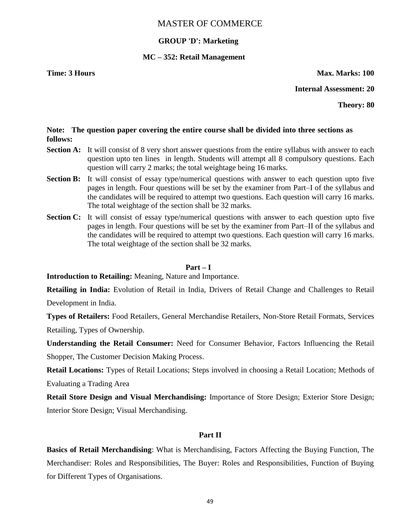# **GROUP 'D': Marketing**

### **MC – 352: Retail Management**

**Time: 3 Hours Max. Marks: 100** 

**Internal Assessment: 20**

**Theory: 80**

# **Note: The question paper covering the entire course shall be divided into three sections as follows:**

- **Section A:** It will consist of 8 very short answer questions from the entire syllabus with answer to each question upto ten lines in length. Students will attempt all 8 compulsory questions. Each question will carry 2 marks; the total weightage being 16 marks.
- **Section B:** It will consist of essay type/numerical questions with answer to each question upto five pages in length. Four questions will be set by the examiner from Part–I of the syllabus and the candidates will be required to attempt two questions. Each question will carry 16 marks. The total weightage of the section shall be 32 marks.
- **Section C:** It will consist of essay type/numerical questions with answer to each question upto five pages in length. Four questions will be set by the examiner from Part–II of the syllabus and the candidates will be required to attempt two questions. Each question will carry 16 marks. The total weightage of the section shall be 32 marks.

#### **Part – I**

**Introduction to Retailing:** Meaning, Nature and Importance.

**Retailing in India:** Evolution of Retail in India, Drivers of Retail Change and Challenges to Retail Development in India.

**Types of Retailers:** Food Retailers, General Merchandise Retailers, Non-Store Retail Formats, Services Retailing, Types of Ownership.

**Understanding the Retail Consumer:** Need for Consumer Behavior, Factors Influencing the Retail Shopper, The Customer Decision Making Process.

**Retail Locations:** Types of Retail Locations; Steps involved in choosing a Retail Location; Methods of Evaluating a Trading Area

**Retail Store Design and Visual Merchandising:** Importance of Store Design; Exterior Store Design; Interior Store Design; Visual Merchandising.

#### **Part II**

**Basics of Retail Merchandising**: What is Merchandising, Factors Affecting the Buying Function, The Merchandiser: Roles and Responsibilities, The Buyer: Roles and Responsibilities, Function of Buying for Different Types of Organisations.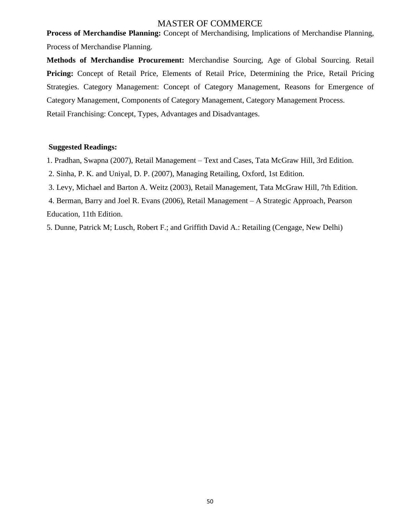**Process of Merchandise Planning:** Concept of Merchandising, Implications of Merchandise Planning, Process of Merchandise Planning.

**Methods of Merchandise Procurement:** Merchandise Sourcing, Age of Global Sourcing. Retail **Pricing:** Concept of Retail Price, Elements of Retail Price, Determining the Price, Retail Pricing Strategies. Category Management: Concept of Category Management, Reasons for Emergence of Category Management, Components of Category Management, Category Management Process. Retail Franchising: Concept, Types, Advantages and Disadvantages.

#### **Suggested Readings:**

1. Pradhan, Swapna (2007), Retail Management – Text and Cases, Tata McGraw Hill, 3rd Edition.

2. Sinha, P. K. and Uniyal, D. P. (2007), Managing Retailing, Oxford, 1st Edition.

3. Levy, Michael and Barton A. Weitz (2003), Retail Management, Tata McGraw Hill, 7th Edition.

4. Berman, Barry and Joel R. Evans (2006), Retail Management – A Strategic Approach, Pearson Education, 11th Edition.

5. Dunne, Patrick M; Lusch, Robert F.; and Griffith David A.: Retailing (Cengage, New Delhi)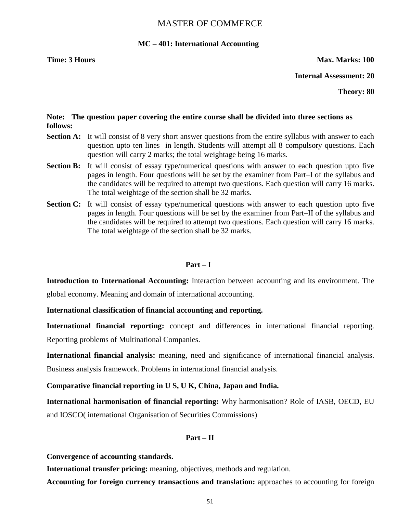#### **MC – 401: International Accounting**

#### **Time: 3 Hours Max. Marks: 100**

**Internal Assessment: 20**

**Theory: 80**

#### **Note: The question paper covering the entire course shall be divided into three sections as follows:**

- **Section A:** It will consist of 8 very short answer questions from the entire syllabus with answer to each question upto ten lines in length. Students will attempt all 8 compulsory questions. Each question will carry 2 marks; the total weightage being 16 marks.
- **Section B:** It will consist of essay type/numerical questions with answer to each question upto five pages in length. Four questions will be set by the examiner from Part–I of the syllabus and the candidates will be required to attempt two questions. Each question will carry 16 marks. The total weightage of the section shall be 32 marks.
- **Section C:** It will consist of essay type/numerical questions with answer to each question upto five pages in length. Four questions will be set by the examiner from Part–II of the syllabus and the candidates will be required to attempt two questions. Each question will carry 16 marks. The total weightage of the section shall be 32 marks.

#### **Part – I**

**Introduction to International Accounting:** Interaction between accounting and its environment. The global economy. Meaning and domain of international accounting.

#### **International classification of financial accounting and reporting.**

**International financial reporting:** concept and differences in international financial reporting. Reporting problems of Multinational Companies.

**International financial analysis:** meaning, need and significance of international financial analysis. Business analysis framework. Problems in international financial analysis.

**Comparative financial reporting in U S, U K, China, Japan and India.** 

**International harmonisation of financial reporting:** Why harmonisation? Role of IASB, OECD, EU and IOSCO( international Organisation of Securities Commissions)

#### **Part – II**

**Convergence of accounting standards.** 

**International transfer pricing:** meaning, objectives, methods and regulation.

**Accounting for foreign currency transactions and translation:** approaches to accounting for foreign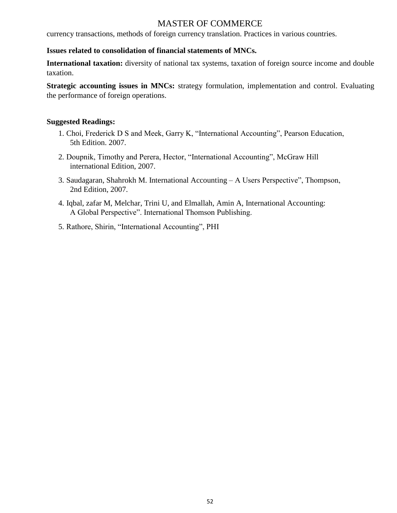currency transactions, methods of foreign currency translation. Practices in various countries.

# **Issues related to consolidation of financial statements of MNCs.**

**International taxation:** diversity of national tax systems, taxation of foreign source income and double taxation.

**Strategic accounting issues in MNCs:** strategy formulation, implementation and control. Evaluating the performance of foreign operations.

## **Suggested Readings:**

- 1. Choi, Frederick D S and Meek, Garry K, "International Accounting", Pearson Education, 5th Edition. 2007.
- 2. Doupnik, Timothy and Perera, Hector, "International Accounting", McGraw Hill international Edition, 2007.
- 3. Saudagaran, Shahrokh M. International Accounting A Users Perspective", Thompson, 2nd Edition, 2007.
- 4. Iqbal, zafar M, Melchar, Trini U, and Elmallah, Amin A, International Accounting: A Global Perspective". International Thomson Publishing.
- 5. Rathore, Shirin, "International Accounting", PHI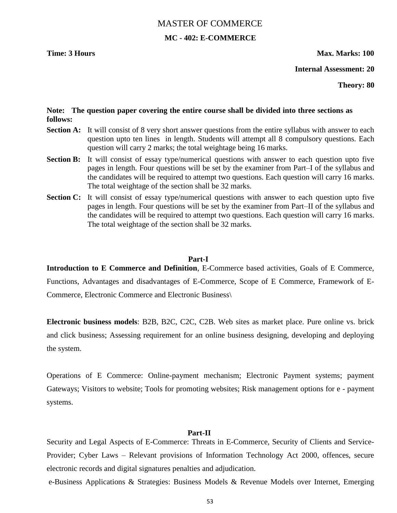# MASTER OF COMMERCE **MC - 402: E-COMMERCE**

## **Time: 3 Hours Max. Marks: 100**

**Internal Assessment: 20**

**Theory: 80**

### **Note: The question paper covering the entire course shall be divided into three sections as follows:**

- **Section A:** It will consist of 8 very short answer questions from the entire syllabus with answer to each question upto ten lines in length. Students will attempt all 8 compulsory questions. Each question will carry 2 marks; the total weightage being 16 marks.
- **Section B:** It will consist of essay type/numerical questions with answer to each question upto five pages in length. Four questions will be set by the examiner from Part–I of the syllabus and the candidates will be required to attempt two questions. Each question will carry 16 marks. The total weightage of the section shall be 32 marks.
- **Section C:** It will consist of essay type/numerical questions with answer to each question upto five pages in length. Four questions will be set by the examiner from Part–II of the syllabus and the candidates will be required to attempt two questions. Each question will carry 16 marks. The total weightage of the section shall be 32 marks.

#### **Part-I**

**Introduction to E Commerce and Definition**, E-Commerce based activities, Goals of E Commerce, Functions, Advantages and disadvantages of E-Commerce, Scope of E Commerce, Framework of E-Commerce, Electronic Commerce and Electronic Business\

**Electronic business models**: B2B, B2C, C2C, C2B. Web sites as market place. Pure online vs. brick and click business; Assessing requirement for an online business designing, developing and deploying the system.

Operations of E Commerce: Online-payment mechanism; Electronic Payment systems; payment Gateways; Visitors to website; Tools for promoting websites; Risk management options for e - payment systems.

#### **Part-II**

Security and Legal Aspects of E-Commerce: Threats in E-Commerce, Security of Clients and Service-Provider; Cyber Laws – Relevant provisions of Information Technology Act 2000, offences, secure electronic records and digital signatures penalties and adjudication.

e-Business Applications & Strategies: Business Models & Revenue Models over Internet, Emerging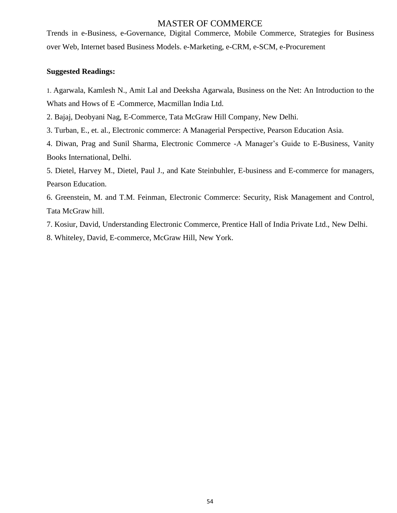Trends in e-Business, e-Governance, Digital Commerce, Mobile Commerce, Strategies for Business over Web, Internet based Business Models. e-Marketing, e-CRM, e-SCM, e-Procurement

#### **Suggested Readings:**

1. Agarwala, Kamlesh N., Amit Lal and Deeksha Agarwala, Business on the Net: An Introduction to the Whats and Hows of E -Commerce, Macmillan India Ltd.

2. Bajaj, Deobyani Nag, E-Commerce, Tata McGraw Hill Company, New Delhi.

3. Turban, E., et. al., Electronic commerce: A Managerial Perspective, Pearson Education Asia.

4. Diwan, Prag and Sunil Sharma, Electronic Commerce -A Manager's Guide to E-Business, Vanity Books International, Delhi.

5. Dietel, Harvey M., Dietel, Paul J., and Kate Steinbuhler, E-business and E-commerce for managers, Pearson Education.

6. Greenstein, M. and T.M. Feinman, Electronic Commerce: Security, Risk Management and Control, Tata McGraw hill.

7. Kosiur, David, Understanding Electronic Commerce, Prentice Hall of India Private Ltd., New Delhi.

8. Whiteley, David, E-commerce, McGraw Hill, New York.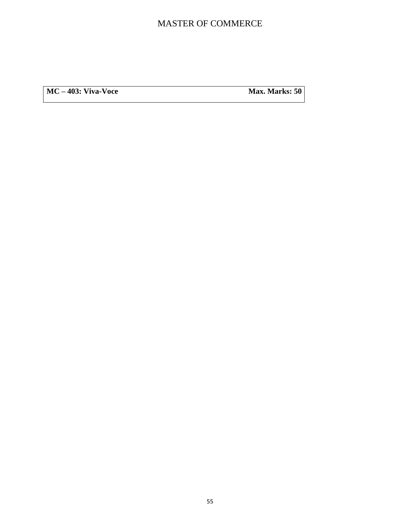**MC** – **403:** Viva-Voce **Max. Marks:** 50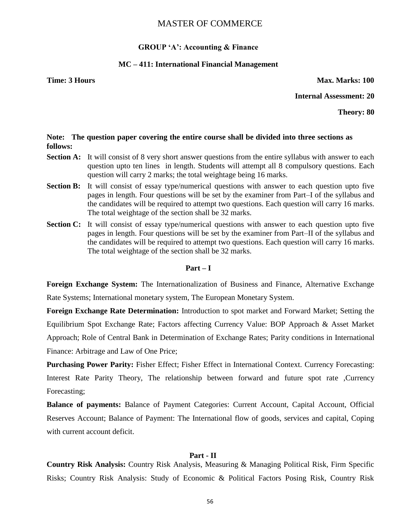#### **GROUP 'A': Accounting & Finance**

### **MC – 411: International Financial Management**

**Time: 3 Hours Max. Marks: 100** 

**Internal Assessment: 20**

**Theory: 80**

#### **Note: The question paper covering the entire course shall be divided into three sections as follows:**

- **Section A:** It will consist of 8 very short answer questions from the entire syllabus with answer to each question upto ten lines in length. Students will attempt all 8 compulsory questions. Each question will carry 2 marks; the total weightage being 16 marks.
- **Section B:** It will consist of essay type/numerical questions with answer to each question upto five pages in length. Four questions will be set by the examiner from Part–I of the syllabus and the candidates will be required to attempt two questions. Each question will carry 16 marks. The total weightage of the section shall be 32 marks.
- **Section C:** It will consist of essay type/numerical questions with answer to each question upto five pages in length. Four questions will be set by the examiner from Part–II of the syllabus and the candidates will be required to attempt two questions. Each question will carry 16 marks. The total weightage of the section shall be 32 marks.

#### **Part – I**

**Foreign Exchange System:** The Internationalization of Business and Finance, Alternative Exchange Rate Systems; International monetary system, The European Monetary System.

**Foreign Exchange Rate Determination:** Introduction to spot market and Forward Market; Setting the Equilibrium Spot Exchange Rate; Factors affecting Currency Value: BOP Approach & Asset Market Approach; Role of Central Bank in Determination of Exchange Rates; Parity conditions in International Finance: Arbitrage and Law of One Price;

**Purchasing Power Parity:** Fisher Effect; Fisher Effect in International Context. Currency Forecasting: Interest Rate Parity Theory, The relationship between forward and future spot rate ,Currency Forecasting;

**Balance of payments:** Balance of Payment Categories: Current Account, Capital Account, Official Reserves Account; Balance of Payment: The International flow of goods, services and capital, Coping with current account deficit.

#### **Part - II**

**Country Risk Analysis:** Country Risk Analysis, Measuring & Managing Political Risk, Firm Specific Risks; Country Risk Analysis: Study of Economic & Political Factors Posing Risk, Country Risk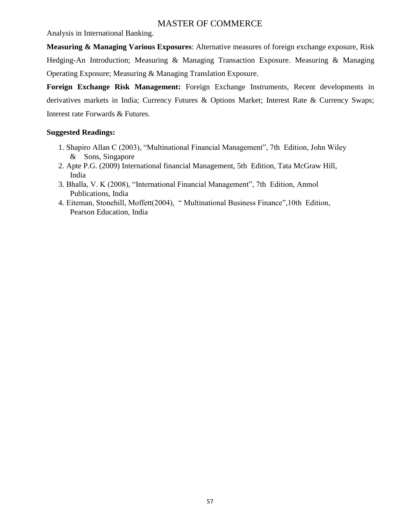Analysis in International Banking.

**Measuring & Managing Various Exposures**: Alternative measures of foreign exchange exposure, Risk Hedging-An Introduction; Measuring & Managing Transaction Exposure. Measuring & Managing Operating Exposure; Measuring & Managing Translation Exposure.

**Foreign Exchange Risk Management:** Foreign Exchange Instruments, Recent developments in derivatives markets in India; Currency Futures & Options Market; Interest Rate & Currency Swaps; Interest rate Forwards & Futures.

# **Suggested Readings:**

- 1. Shapiro Allan C (2003), "Multinational Financial Management", 7th Edition, John Wiley & Sons, Singapore
- 2. Apte P.G. (2009) International financial Management, 5th Edition, Tata McGraw Hill, India
- 3. Bhalla, V. K (2008), "International Financial Management", 7th Edition, Anmol Publications, India
- 4. Eiteman, Stonehill, Moffett(2004), "Multinational Business Finance", 10th Edition, Pearson Education, India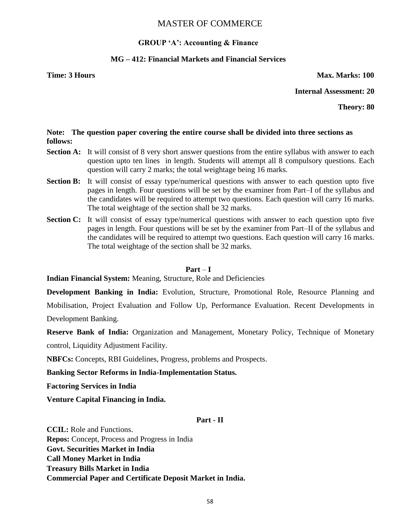# **GROUP 'A': Accounting & Finance**

# **MG – 412: Financial Markets and Financial Services**

**Time: 3 Hours Max. Marks: 100** 

**Internal Assessment: 20**

**Theory: 80**

# **Note: The question paper covering the entire course shall be divided into three sections as follows:**

- **Section A:** It will consist of 8 very short answer questions from the entire syllabus with answer to each question upto ten lines in length. Students will attempt all 8 compulsory questions. Each question will carry 2 marks; the total weightage being 16 marks.
- **Section B:** It will consist of essay type/numerical questions with answer to each question upto five pages in length. Four questions will be set by the examiner from Part–I of the syllabus and the candidates will be required to attempt two questions. Each question will carry 16 marks. The total weightage of the section shall be 32 marks.
- **Section C:** It will consist of essay type/numerical questions with answer to each question upto five pages in length. Four questions will be set by the examiner from Part–II of the syllabus and the candidates will be required to attempt two questions. Each question will carry 16 marks. The total weightage of the section shall be 32 marks.

#### $Part - I$

**Indian Financial System:** Meaning, Structure, Role and Deficiencies

**Development Banking in India:** Evolution, Structure, Promotional Role, Resource Planning and

Mobilisation, Project Evaluation and Follow Up, Performance Evaluation. Recent Developments in Development Banking.

**Reserve Bank of India:** Organization and Management, Monetary Policy, Technique of Monetary control, Liquidity Adjustment Facility.

**NBFCs:** Concepts, RBI Guidelines, Progress, problems and Prospects.

**Banking Sector Reforms in India-Implementation Status.** 

**Factoring Services in India** 

**Venture Capital Financing in India.** 

# **Part - II**

**CCIL:** Role and Functions. **Repos:** Concept, Process and Progress in India **Govt. Securities Market in India Call Money Market in India Treasury Bills Market in India Commercial Paper and Certificate Deposit Market in India.**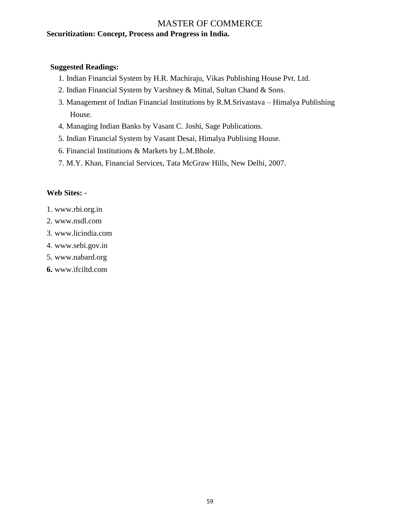# MASTER OF COMMERCE **Securitization: Concept, Process and Progress in India.**

## **Suggested Readings:**

- 1. Indian Financial System by H.R. Machiraju, Vikas Publishing House Pvt. Ltd.
- 2. Indian Financial System by Varshney & Mittal, Sultan Chand & Sons.
- 3. Management of Indian Financial Institutions by R.M.Srivastava Himalya Publishing House.
- 4. Managing Indian Banks by Vasant C. Joshi, Sage Publications.
- 5. Indian Financial System by Vasant Desai, Himalya Publising House.
- 6. Financial Institutions & Markets by L.M.Bhole.
- 7. M.Y. Khan, Financial Services, Tata McGraw Hills, New Delhi, 2007.

# **Web Sites: -**

- 1. www.rbi.org.in
- 2. www.nsdl.com
- 3. www.licindia.com
- 4. www.sebi.gov.in
- 5. www.nabard.org
- **6.** www.ifciltd.com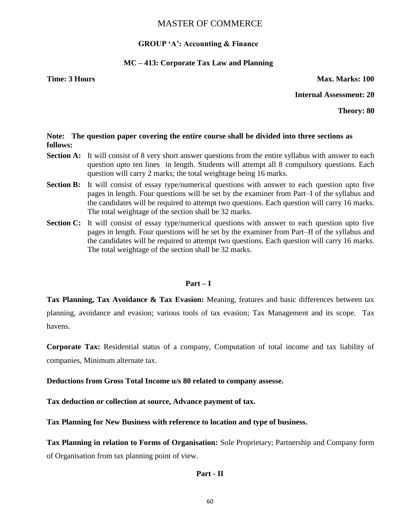#### **GROUP 'A': Accounting & Finance**

#### **MC – 413: Corporate Tax Law and Planning**

**Time: 3 Hours Max. Marks: 100** 

**Internal Assessment: 20**

**Theory: 80**

#### **Note: The question paper covering the entire course shall be divided into three sections as follows:**

- **Section A:** It will consist of 8 very short answer questions from the entire syllabus with answer to each question upto ten lines in length. Students will attempt all 8 compulsory questions. Each question will carry 2 marks; the total weightage being 16 marks.
- **Section B:** It will consist of essay type/numerical questions with answer to each question upto five pages in length. Four questions will be set by the examiner from Part–I of the syllabus and the candidates will be required to attempt two questions. Each question will carry 16 marks. The total weightage of the section shall be 32 marks.
- **Section C:** It will consist of essay type/numerical questions with answer to each question upto five pages in length. Four questions will be set by the examiner from Part–II of the syllabus and the candidates will be required to attempt two questions. Each question will carry 16 marks. The total weightage of the section shall be 32 marks.

#### **Part – I**

**Tax Planning, Tax Avoidance & Tax Evasion:** Meaning, features and basic differences between tax planning, avoidance and evasion; various tools of tax evasion; Tax Management and its scope. Tax havens.

**Corporate Tax:** Residential status of a company, Computation of total income and tax liability of companies, Minimum alternate tax.

**Deductions from Gross Total Income u/s 80 related to company assesse.** 

**Tax deduction or collection at source, Advance payment of tax.** 

**Tax Planning for New Business with reference to location and type of business.** 

**Tax Planning in relation to Forms of Organisation:** Sole Proprietary; Partnership and Company form of Organisation from tax planning point of view.

#### **Part - II**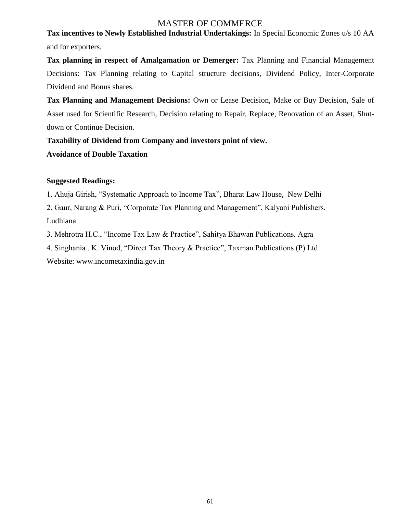**Tax incentives to Newly Established Industrial Undertakings:** In Special Economic Zones u/s 10 AA and for exporters.

**Tax planning in respect of Amalgamation or Demerger:** Tax Planning and Financial Management Decisions: Tax Planning relating to Capital structure decisions, Dividend Policy, Inter-Corporate Dividend and Bonus shares.

**Tax Planning and Management Decisions:** Own or Lease Decision, Make or Buy Decision, Sale of Asset used for Scientific Research, Decision relating to Repair, Replace, Renovation of an Asset, Shutdown or Continue Decision.

**Taxability of Dividend from Company and investors point of view.**

# **Avoidance of Double Taxation**

# **Suggested Readings:**

1. Ahuja Girish, "Systematic Approach to Income Tax", Bharat Law House, New Delhi

2. Gaur, Narang & Puri, "Corporate Tax Planning and Management", Kalyani Publishers, Ludhiana

3. Mehrotra H.C., "Income Tax Law & Practice", Sahitya Bhawan Publications, Agra

4. Singhania . K. Vinod, "Direct Tax Theory & Practice", Taxman Publications (P) Ltd.

Website: www.incometaxindia.gov.in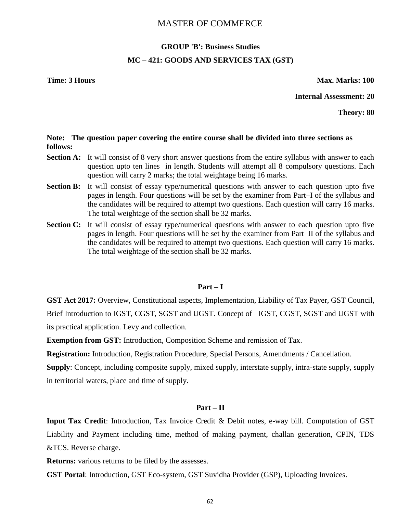# **GROUP 'B': Business Studies MC – 421: GOODS AND SERVICES TAX (GST)**

**Time: 3 Hours Max. Marks: 100** 

**Internal Assessment: 20**

**Theory: 80**

#### **Note: The question paper covering the entire course shall be divided into three sections as follows:**

- **Section A:** It will consist of 8 very short answer questions from the entire syllabus with answer to each question upto ten lines in length. Students will attempt all 8 compulsory questions. Each question will carry 2 marks; the total weightage being 16 marks.
- **Section B:** It will consist of essay type/numerical questions with answer to each question upto five pages in length. Four questions will be set by the examiner from Part–I of the syllabus and the candidates will be required to attempt two questions. Each question will carry 16 marks. The total weightage of the section shall be 32 marks.
- **Section C:** It will consist of essay type/numerical questions with answer to each question upto five pages in length. Four questions will be set by the examiner from Part–II of the syllabus and the candidates will be required to attempt two questions. Each question will carry 16 marks. The total weightage of the section shall be 32 marks.

#### **Part – I**

**GST Act 2017:** Overview, Constitutional aspects, Implementation, Liability of Tax Payer, GST Council, Brief Introduction to IGST, CGST, SGST and UGST. Concept of IGST, CGST, SGST and UGST with its practical application. Levy and collection.

**Exemption from GST:** Introduction, Composition Scheme and remission of Tax.

**Registration:** Introduction, Registration Procedure, Special Persons, Amendments / Cancellation.

**Supply**: Concept, including composite supply, mixed supply, interstate supply, intra-state supply, supply in territorial waters, place and time of supply.

#### **Part – II**

**Input Tax Credit**: Introduction, Tax Invoice Credit & Debit notes, e-way bill. Computation of GST Liability and Payment including time, method of making payment, challan generation, CPIN, TDS &TCS. Reverse charge.

**Returns:** various returns to be filed by the assesses.

**GST Portal**: Introduction, GST Eco-system, GST Suvidha Provider (GSP), Uploading Invoices.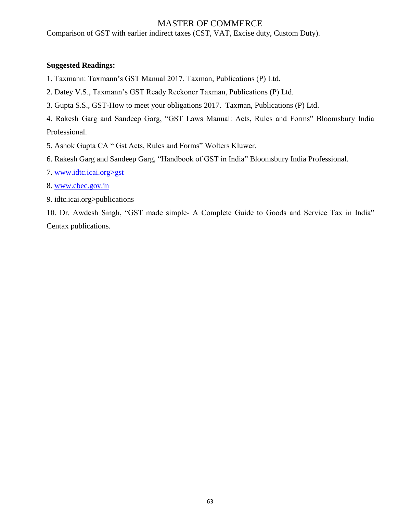Comparison of GST with earlier indirect taxes (CST, VAT, Excise duty, Custom Duty).

### **Suggested Readings:**

1. Taxmann: Taxmann's GST Manual 2017. Taxman, Publications (P) Ltd.

- 2. Datey V.S., Taxmann's GST Ready Reckoner Taxman, Publications (P) Ltd.
- 3. Gupta S.S., GST-How to meet your obligations 2017. Taxman, Publications (P) Ltd.

4. Rakesh Garg and Sandeep Garg, "GST Laws Manual: Acts, Rules and Forms" Bloomsbury India Professional.

- 5. Ashok Gupta CA " Gst Acts, Rules and Forms" Wolters Kluwer.
- 6. Rakesh Garg and Sandeep Garg, "Handbook of GST in India" Bloomsbury India Professional.
- 7. www.idtc.icai.org>gst
- 8. [www.cbec.gov.in](http://www.cbec.gov.in/)
- 9. idtc.icai.org>publications

10. Dr. Awdesh Singh, "GST made simple- A Complete Guide to Goods and Service Tax in India" Centax publications.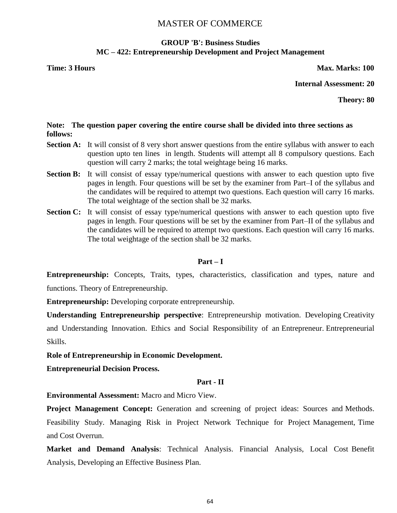# **GROUP 'B': Business Studies MC – 422: Entrepreneurship Development and Project Management**

**Time: 3 Hours Max. Marks: 100** 

**Internal Assessment: 20**

**Theory: 80**

## **Note: The question paper covering the entire course shall be divided into three sections as follows:**

- **Section A:** It will consist of 8 very short answer questions from the entire syllabus with answer to each question upto ten lines in length. Students will attempt all 8 compulsory questions. Each question will carry 2 marks; the total weightage being 16 marks.
- **Section B:** It will consist of essay type/numerical questions with answer to each question upto five pages in length. Four questions will be set by the examiner from Part–I of the syllabus and the candidates will be required to attempt two questions. Each question will carry 16 marks. The total weightage of the section shall be 32 marks.
- **Section C:** It will consist of essay type/numerical questions with answer to each question upto five pages in length. Four questions will be set by the examiner from Part–II of the syllabus and the candidates will be required to attempt two questions. Each question will carry 16 marks. The total weightage of the section shall be 32 marks.

# **Part – I**

**Entrepreneurship:** Concepts, Traits, types, characteristics, classification and types, nature and functions. Theory of Entrepreneurship.

**Entrepreneurship:** Developing corporate entrepreneurship.

**Understanding Entrepreneurship perspective**: Entrepreneurship motivation. Developing Creativity and Understanding Innovation. Ethics and Social Responsibility of an Entrepreneur. Entrepreneurial Skills.

**Role of Entrepreneurship in Economic Development.**

**Entrepreneurial Decision Process.**

# **Part - II**

**Environmental Assessment:** Macro and Micro View.

**Project Management Concept:** Generation and screening of project ideas: Sources and Methods. Feasibility Study. Managing Risk in Project Network Technique for Project Management, Time and Cost Overrun.

**Market and Demand Analysis**: Technical Analysis. Financial Analysis, Local Cost Benefit Analysis, Developing an Effective Business Plan.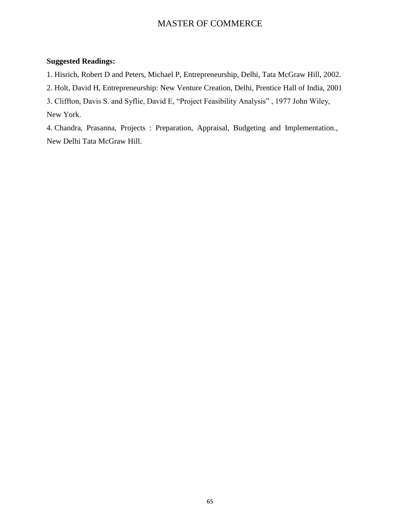## **Suggested Readings:**

1. Hisrich, Robert D and Peters, Michael P, Entrepreneurship, Delhi, Tata McGraw Hill, 2002.

2. Holt, David H, Entrepreneurship: New Venture Creation, Delhi, Prentice Hall of India, 2001

3. Cliffton, Davis S. and Syflie, David E, "Project Feasibility Analysis", 1977 John Wiley,

New York.

4. Chandra, Prasanna, Projects : Preparation, Appraisal, Budgeting and Implementation., New Delhi Tata McGraw Hill.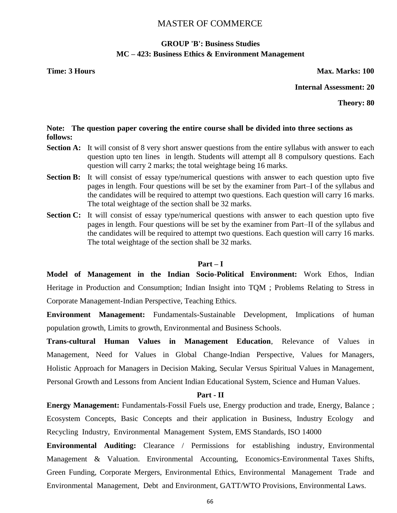# **GROUP 'B': Business Studies MC – 423: Business Ethics & Environment Management**

**Time: 3 Hours Max. Marks: 100** 

**Internal Assessment: 20**

**Theory: 80**

#### **Note: The question paper covering the entire course shall be divided into three sections as follows:**

- **Section A:** It will consist of 8 very short answer questions from the entire syllabus with answer to each question upto ten lines in length. Students will attempt all 8 compulsory questions. Each question will carry 2 marks; the total weightage being 16 marks.
- **Section B:** It will consist of essay type/numerical questions with answer to each question upto five pages in length. Four questions will be set by the examiner from Part–I of the syllabus and the candidates will be required to attempt two questions. Each question will carry 16 marks. The total weightage of the section shall be 32 marks.
- **Section C:** It will consist of essay type/numerical questions with answer to each question upto five pages in length. Four questions will be set by the examiner from Part–II of the syllabus and the candidates will be required to attempt two questions. Each question will carry 16 marks. The total weightage of the section shall be 32 marks.

#### **Part – I**

**Model of Management in the Indian Socio-Political Environment:** Work Ethos, Indian Heritage in Production and Consumption; Indian Insight into TQM ; Problems Relating to Stress in Corporate Management-Indian Perspective, Teaching Ethics.

**Environment Management:** Fundamentals-Sustainable Development, Implications of human population growth, Limits to growth, Environmental and Business Schools.

**Trans-cultural Human Values in Management Education**, Relevance of Values in Management, Need for Values in Global Change-Indian Perspective, Values for Managers, Holistic Approach for Managers in Decision Making, Secular Versus Spiritual Values in Management, Personal Growth and Lessons from Ancient Indian Educational System, Science and Human Values.

#### **Part - II**

**Energy Management:** Fundamentals-Fossil Fuels use, Energy production and trade, Energy, Balance ; Ecosystem Concepts, Basic Concepts and their application in Business, Industry Ecology and Recycling Industry, Environmental Management System, EMS Standards, ISO 14000

**Environmental Auditing:** Clearance / Permissions for establishing industry, Environmental Management & Valuation. Environmental Accounting, Economics-Environmental Taxes Shifts, Green Funding, Corporate Mergers, Environmental Ethics, Environmental Management Trade and Environmental Management, Debt and Environment, GATT/WTO Provisions, Environmental Laws.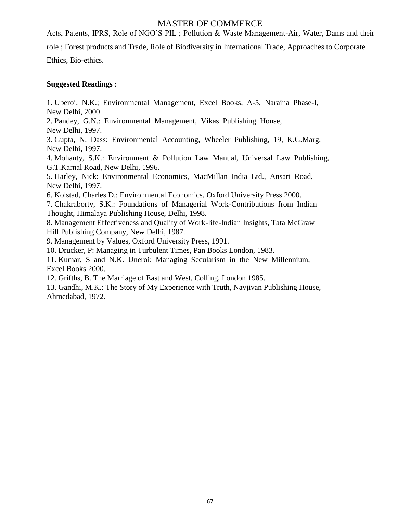Acts, Patents, IPRS, Role of NGO'S PIL ; Pollution & Waste Management-Air, Water, Dams and their role ; Forest products and Trade, Role of Biodiversity in International Trade, Approaches to Corporate Ethics, Bio-ethics.

# **Suggested Readings :**

1. Uberoi, N.K.; Environmental Management, Excel Books, A-5, Naraina Phase-I, New Delhi, 2000.

2. Pandey, G.N.: Environmental Management, Vikas Publishing House, New Delhi, 1997.

3. Gupta, N. Dass: Environmental Accounting, Wheeler Publishing, 19, K.G.Marg, New Delhi, 1997.

4. Mohanty, S.K.: Environment & Pollution Law Manual, Universal Law Publishing, G.T.Karnal Road, New Delhi, 1996.

5. Harley, Nick: Environmental Economics, MacMillan India Ltd., Ansari Road, New Delhi, 1997.

6. Kolstad, Charles D.: Environmental Economics, Oxford University Press 2000.

7. Chakraborty, S.K.: Foundations of Managerial Work-Contributions from Indian Thought, Himalaya Publishing House, Delhi, 1998.

8. Management Effectiveness and Quality of Work-life-Indian Insights, Tata McGraw Hill Publishing Company, New Delhi, 1987.

9. Management by Values, Oxford University Press, 1991.

10. Drucker, P: Managing in Turbulent Times, Pan Books London, 1983.

11. Kumar, S and N.K. Uneroi: Managing Secularism in the New Millennium, Excel Books 2000.

12. Grifths, B. The Marriage of East and West, Colling, London 1985.

13. Gandhi, M.K.: The Story of My Experience with Truth, Navjivan Publishing House, Ahmedabad, 1972.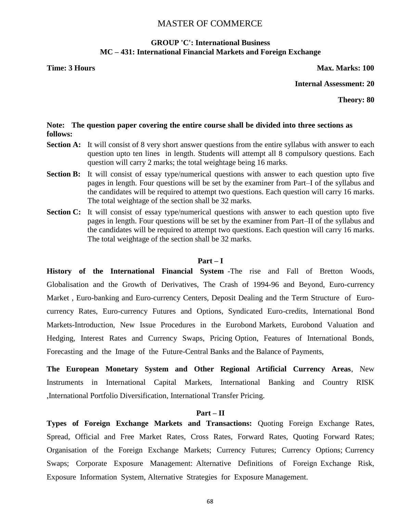# **GROUP 'C': International Business MC – 431: International Financial Markets and Foreign Exchange**

**Time: 3 Hours Max. Marks: 100** 

**Internal Assessment: 20**

**Theory: 80**

#### **Note: The question paper covering the entire course shall be divided into three sections as follows:**

- **Section A:** It will consist of 8 very short answer questions from the entire syllabus with answer to each question upto ten lines in length. Students will attempt all 8 compulsory questions. Each question will carry 2 marks; the total weightage being 16 marks.
- **Section B:** It will consist of essay type/numerical questions with answer to each question upto five pages in length. Four questions will be set by the examiner from Part–I of the syllabus and the candidates will be required to attempt two questions. Each question will carry 16 marks. The total weightage of the section shall be 32 marks.
- **Section C:** It will consist of essay type/numerical questions with answer to each question upto five pages in length. Four questions will be set by the examiner from Part–II of the syllabus and the candidates will be required to attempt two questions. Each question will carry 16 marks. The total weightage of the section shall be 32 marks.

#### **Part – I**

**History of the International Financial System** -The rise and Fall of Bretton Woods, Globalisation and the Growth of Derivatives, The Crash of 1994-96 and Beyond, Euro-currency Market , Euro-banking and Euro-currency Centers, Deposit Dealing and the Term Structure of Eurocurrency Rates, Euro-currency Futures and Options, Syndicated Euro-credits, International Bond Markets-Introduction, New Issue Procedures in the Eurobond Markets, Eurobond Valuation and Hedging, Interest Rates and Currency Swaps, Pricing Option, Features of International Bonds, Forecasting and the Image of the Future-Central Banks and the Balance of Payments,

**The European Monetary System and Other Regional Artificial Currency Areas**, New Instruments in International Capital Markets, International Banking and Country RISK ,International Portfolio Diversification, International Transfer Pricing.

#### **Part – II**

**Types of Foreign Exchange Markets and Transactions:** Quoting Foreign Exchange Rates, Spread, Official and Free Market Rates, Cross Rates, Forward Rates, Quoting Forward Rates; Organisation of the Foreign Exchange Markets; Currency Futures; Currency Options; Currency Swaps; Corporate Exposure Management: Alternative Definitions of Foreign Exchange Risk, Exposure Information System, Alternative Strategies for Exposure Management.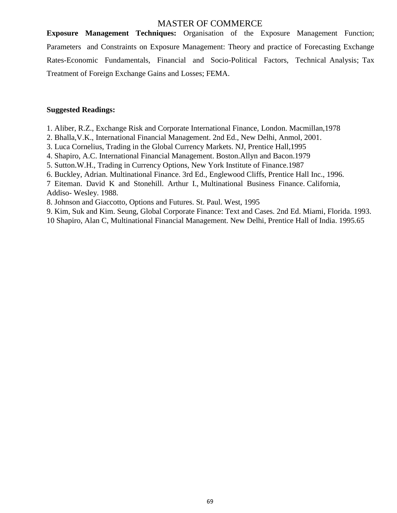**Exposure Management Techniques:** Organisation of the Exposure Management Function; Parameters and Constraints on Exposure Management: Theory and practice of Forecasting Exchange Rates-Economic Fundamentals, Financial and Socio-Political Factors, Technical Analysis; Tax Treatment of Foreign Exchange Gains and Losses; FEMA.

#### **Suggested Readings:**

- 1. Aliber, R.Z., Exchange Risk and Corporate International Finance, London. Macmillan,1978
- 2. Bhalla,V.K., International Financial Management. 2nd Ed., New Delhi, Anmol, 2001.
- 3. Luca Cornelius, Trading in the Global Currency Markets. NJ, Prentice Hall,1995
- 4. Shapiro, A.C. International Financial Management. Boston.Allyn and Bacon.1979
- 5. Sutton.W.H., Trading in Currency Options, New York Institute of Finance.1987
- 6. Buckley, Adrian. Multinational Finance. 3rd Ed., Englewood Cliffs, Prentice Hall Inc., 1996.
- 7 Eiteman. David K and Stonehill. Arthur I., Multinational Business Finance. California, Addiso- Wesley. 1988.
- 8. Johnson and Giaccotto, Options and Futures. St. Paul. West, 1995
- 9. Kim, Suk and Kim. Seung, Global Corporate Finance: Text and Cases. 2nd Ed. Miami, Florida. 1993.

10 Shapiro, Alan C, Multinational Financial Management. New Delhi, Prentice Hall of India. 1995.65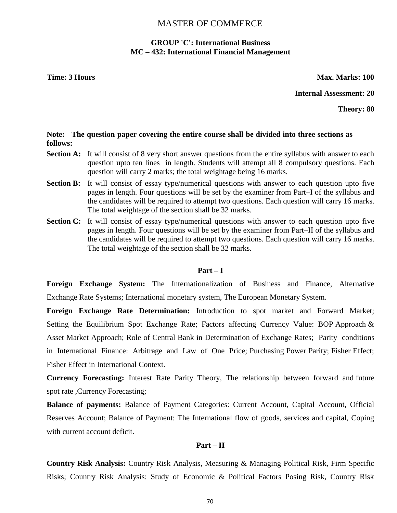# **GROUP 'C': International Business MC – 432: International Financial Management**

**Time: 3 Hours Max. Marks: 100** 

**Internal Assessment: 20**

**Theory: 80**

#### **Note: The question paper covering the entire course shall be divided into three sections as follows:**

- **Section A:** It will consist of 8 very short answer questions from the entire syllabus with answer to each question upto ten lines in length. Students will attempt all 8 compulsory questions. Each question will carry 2 marks; the total weightage being 16 marks.
- **Section B:** It will consist of essay type/numerical questions with answer to each question upto five pages in length. Four questions will be set by the examiner from Part–I of the syllabus and the candidates will be required to attempt two questions. Each question will carry 16 marks. The total weightage of the section shall be 32 marks.
- **Section C:** It will consist of essay type/numerical questions with answer to each question upto five pages in length. Four questions will be set by the examiner from Part–II of the syllabus and the candidates will be required to attempt two questions. Each question will carry 16 marks. The total weightage of the section shall be 32 marks.

#### **Part – I**

**Foreign Exchange System:** The Internationalization of Business and Finance, Alternative Exchange Rate Systems; International monetary system, The European Monetary System.

**Foreign Exchange Rate Determination:** Introduction to spot market and Forward Market; Setting the Equilibrium Spot Exchange Rate; Factors affecting Currency Value: BOP Approach & Asset Market Approach; Role of Central Bank in Determination of Exchange Rates; Parity conditions in International Finance: Arbitrage and Law of One Price; Purchasing Power Parity; Fisher Effect; Fisher Effect in International Context.

**Currency Forecasting:** Interest Rate Parity Theory, The relationship between forward and future spot rate ,Currency Forecasting;

**Balance of payments:** Balance of Payment Categories: Current Account, Capital Account, Official Reserves Account; Balance of Payment: The International flow of goods, services and capital, Coping with current account deficit.

#### **Part – II**

**Country Risk Analysis:** Country Risk Analysis, Measuring & Managing Political Risk, Firm Specific Risks; Country Risk Analysis: Study of Economic & Political Factors Posing Risk, Country Risk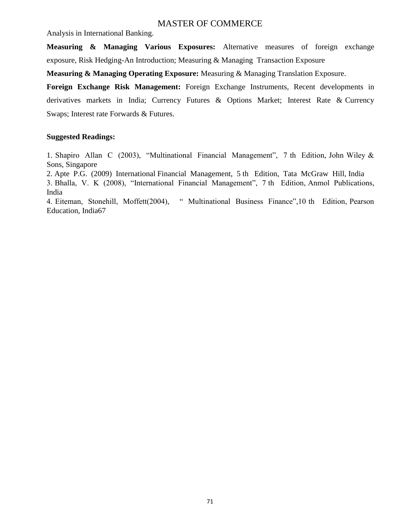Analysis in International Banking.

**Measuring & Managing Various Exposures:** Alternative measures of foreign exchange exposure, Risk Hedging-An Introduction; Measuring & Managing Transaction Exposure

**Measuring & Managing Operating Exposure:** Measuring & Managing Translation Exposure.

**Foreign Exchange Risk Management:** Foreign Exchange Instruments, Recent developments in derivatives markets in India; Currency Futures & Options Market; Interest Rate & Currency Swaps; Interest rate Forwards & Futures.

#### **Suggested Readings:**

1. Shapiro Allan C (2003), "Multinational Financial Management", 7 th Edition, John Wiley  $\&$ Sons, Singapore

2. Apte P.G. (2009) International Financial Management, 5 th Edition, Tata McGraw Hill, India

3. Bhalla, V. K (2008), "International Financial Management", 7 th Edition, Anmol Publications, India

4. Eiteman, Stonehill, Moffett(2004), " Multinational Business Finance",10 th Edition, Pearson Education, India67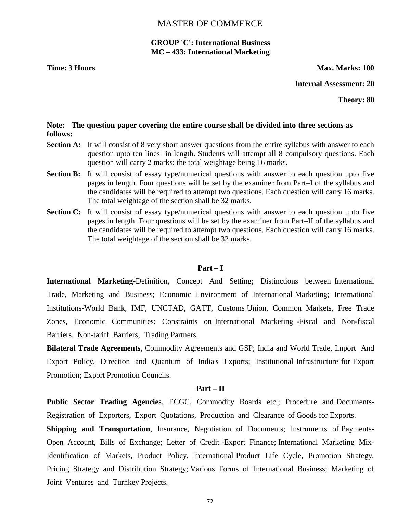# **GROUP 'C': International Business MC – 433: International Marketing**

**Time: 3 Hours Max. Marks: 100** 

**Internal Assessment: 20**

**Theory: 80**

#### **Note: The question paper covering the entire course shall be divided into three sections as follows:**

- **Section A:** It will consist of 8 very short answer questions from the entire syllabus with answer to each question upto ten lines in length. Students will attempt all 8 compulsory questions. Each question will carry 2 marks; the total weightage being 16 marks.
- **Section B:** It will consist of essay type/numerical questions with answer to each question upto five pages in length. Four questions will be set by the examiner from Part–I of the syllabus and the candidates will be required to attempt two questions. Each question will carry 16 marks. The total weightage of the section shall be 32 marks.
- **Section C:** It will consist of essay type/numerical questions with answer to each question upto five pages in length. Four questions will be set by the examiner from Part–II of the syllabus and the candidates will be required to attempt two questions. Each question will carry 16 marks. The total weightage of the section shall be 32 marks.

#### **Part – I**

**International Marketing**-Definition, Concept And Setting; Distinctions between International Trade, Marketing and Business; Economic Environment of International Marketing; International Institutions-World Bank, IMF, UNCTAD, GATT, Customs Union, Common Markets, Free Trade Zones, Economic Communities; Constraints on International Marketing -Fiscal and Non-fiscal Barriers, Non-tariff Barriers; Trading Partners.

**Bilateral Trade Agreements**, Commodity Agreements and GSP; India and World Trade, Import And Export Policy, Direction and Quantum of India's Exports; Institutional Infrastructure for Export Promotion; Export Promotion Councils.

#### **Part – II**

**Public Sector Trading Agencies**, ECGC, Commodity Boards etc.; Procedure and Documents-Registration of Exporters, Export Quotations, Production and Clearance of Goods for Exports.

**Shipping and Transportation**, Insurance, Negotiation of Documents; Instruments of Payments-Open Account, Bills of Exchange; Letter of Credit -Export Finance; International Marketing Mix-Identification of Markets, Product Policy, International Product Life Cycle, Promotion Strategy, Pricing Strategy and Distribution Strategy; Various Forms of International Business; Marketing of Joint Ventures and Turnkey Projects.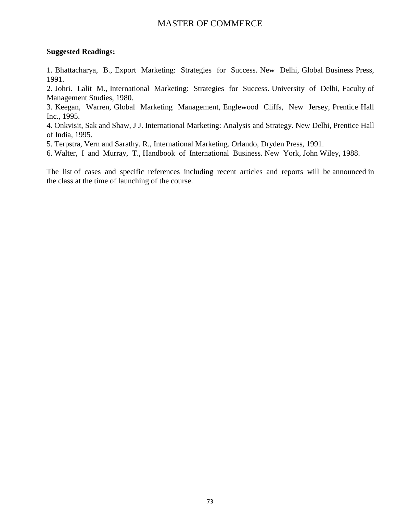### **Suggested Readings:**

1. Bhattacharya, B., Export Marketing: Strategies for Success. New Delhi, Global Business Press, 1991.

2. Johri. Lalit M., International Marketing: Strategies for Success. University of Delhi, Faculty of Management Studies, 1980.

3. Keegan, Warren, Global Marketing Management, Englewood Cliffs, New Jersey, Prentice Hall Inc., 1995.

4. Onkvisit, Sak and Shaw, J J. International Marketing: Analysis and Strategy. New Delhi, Prentice Hall of India, 1995.

5. Terpstra, Vern and Sarathy. R., International Marketing. Orlando, Dryden Press, 1991.

6. Walter, I and Murray, T., Handbook of International Business. New York, John Wiley, 1988.

The list of cases and specific references including recent articles and reports will be announced in the class at the time of launching of the course.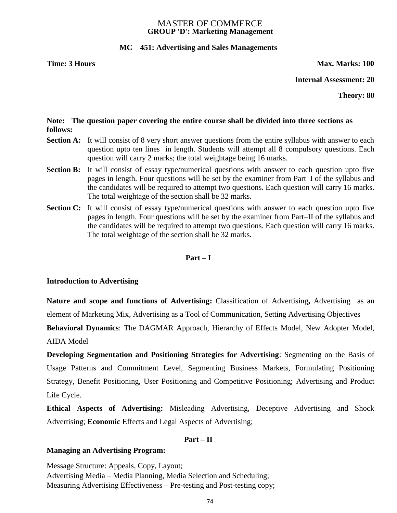### MASTER OF COMMERCE **GROUP 'D': Marketing Management**

## **MC** *–* **451: Advertising and Sales Managements**

**Time: 3 Hours Max. Marks: 100** 

**Internal Assessment: 20**

**Theory: 80**

## **Note: The question paper covering the entire course shall be divided into three sections as follows:**

- **Section A:** It will consist of 8 very short answer questions from the entire syllabus with answer to each question upto ten lines in length. Students will attempt all 8 compulsory questions. Each question will carry 2 marks; the total weightage being 16 marks.
- **Section B:** It will consist of essay type/numerical questions with answer to each question upto five pages in length. Four questions will be set by the examiner from Part–I of the syllabus and the candidates will be required to attempt two questions. Each question will carry 16 marks. The total weightage of the section shall be 32 marks.
- **Section C:** It will consist of essay type/numerical questions with answer to each question upto five pages in length. Four questions will be set by the examiner from Part–II of the syllabus and the candidates will be required to attempt two questions. Each question will carry 16 marks. The total weightage of the section shall be 32 marks.

#### **Part – I**

#### **Introduction to Advertising**

**Nature and scope and functions of Advertising:** Classification of Advertising**,** Advertising as an element of Marketing Mix, Advertising as a Tool of Communication, Setting Advertising Objectives

**Behavioral Dynamics**: The DAGMAR Approach, Hierarchy of Effects Model, New Adopter Model, AIDA Model

**Developing Segmentation and Positioning Strategies for Advertising**: Segmenting on the Basis of Usage Patterns and Commitment Level, Segmenting Business Markets, Formulating Positioning Strategy, Benefit Positioning, User Positioning and Competitive Positioning; Advertising and Product Life Cycle.

**Ethical Aspects of Advertising:** Misleading Advertising, Deceptive Advertising and Shock Advertising; **Economic** Effects and Legal Aspects of Advertising;

#### **Part – II**

#### **Managing an Advertising Program:**

Message Structure: Appeals, Copy, Layout; Advertising Media – Media Planning, Media Selection and Scheduling; Measuring Advertising Effectiveness – Pre-testing and Post-testing copy;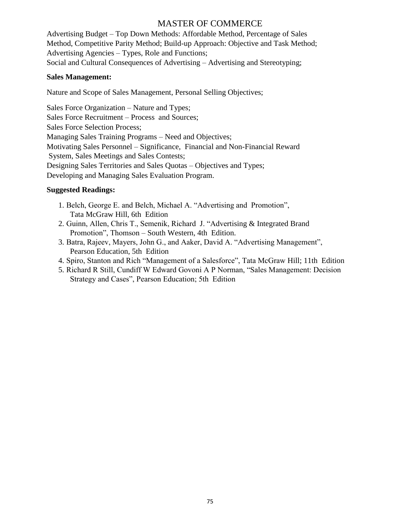Advertising Budget – Top Down Methods: Affordable Method, Percentage of Sales Method, Competitive Parity Method; Build-up Approach: Objective and Task Method; Advertising Agencies – Types, Role and Functions; Social and Cultural Consequences of Advertising – Advertising and Stereotyping;

## **Sales Management:**

Nature and Scope of Sales Management, Personal Selling Objectives;

Sales Force Organization – Nature and Types; Sales Force Recruitment – Process and Sources; Sales Force Selection Process; Managing Sales Training Programs – Need and Objectives; Motivating Sales Personnel – Significance, Financial and Non-Financial Reward System, Sales Meetings and Sales Contests; Designing Sales Territories and Sales Quotas – Objectives and Types; Developing and Managing Sales Evaluation Program.

## **Suggested Readings:**

- 1. Belch, George E. and Belch, Michael A. "Advertising and Promotion", Tata McGraw Hill, 6th Edition
- 2. Guinn, Allen, Chris T., Semenik, Richard J. "Advertising & Integrated Brand Promotion", Thomson – South Western, 4th Edition.
- 3. Batra, Rajeev, Mayers, John G., and Aaker, David A. "Advertising Management", Pearson Education, 5th Edition
- 4. Spiro, Stanton and Rich "Management of a Salesforce", Tata McGraw Hill; 11th Edition
- 5. Richard R Still, Cundiff W Edward Govoni A P Norman, "Sales Management: Decision Strategy and Cases", Pearson Education; 5th Edition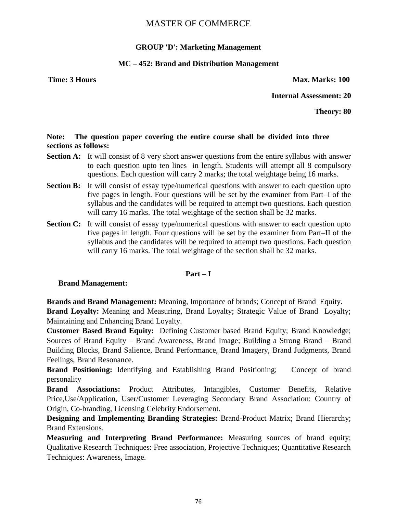## **GROUP 'D': Marketing Management**

## **MC – 452: Brand and Distribution Management**

**Time: 3 Hours Max. Marks: 100** 

**Internal Assessment: 20**

**Theory: 80**

## **Note: The question paper covering the entire course shall be divided into three sections as follows:**

- **Section A:** It will consist of 8 very short answer questions from the entire syllabus with answer to each question upto ten lines in length. Students will attempt all 8 compulsory questions. Each question will carry 2 marks; the total weightage being 16 marks.
- **Section B:** It will consist of essay type/numerical questions with answer to each question upto five pages in length. Four questions will be set by the examiner from Part–I of the syllabus and the candidates will be required to attempt two questions. Each question will carry 16 marks. The total weightage of the section shall be 32 marks.
- **Section C:** It will consist of essay type/numerical questions with answer to each question upto five pages in length. Four questions will be set by the examiner from Part–II of the syllabus and the candidates will be required to attempt two questions. Each question will carry 16 marks. The total weightage of the section shall be 32 marks.

#### **Part – I**

#### **Brand Management:**

**Brands and Brand Management:** Meaning, Importance of brands; Concept of Brand Equity. **Brand Loyalty:** Meaning and Measuring, Brand Loyalty; Strategic Value of Brand Loyalty; Maintaining and Enhancing Brand Loyalty.

**Customer Based Brand Equity:** Defining Customer based Brand Equity; Brand Knowledge; Sources of Brand Equity – Brand Awareness, Brand Image; Building a Strong Brand – Brand Building Blocks, Brand Salience, Brand Performance, Brand Imagery, Brand Judgments, Brand Feelings, Brand Resonance.

**Brand Positioning:** Identifying and Establishing Brand Positioning; Concept of brand personality

**Brand Associations:** Product Attributes, Intangibles, Customer Benefits, Relative Price,Use/Application, User/Customer Leveraging Secondary Brand Association: Country of Origin, Co-branding, Licensing Celebrity Endorsement.

**Designing and Implementing Branding Strategies:** Brand-Product Matrix; Brand Hierarchy; Brand Extensions.

**Measuring and Interpreting Brand Performance:** Measuring sources of brand equity; Qualitative Research Techniques: Free association, Projective Techniques; Quantitative Research Techniques: Awareness, Image.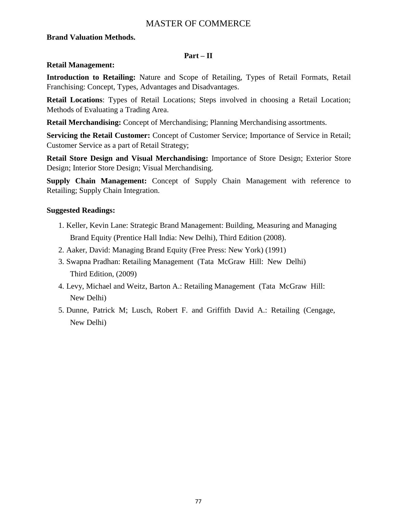## **Brand Valuation Methods.**

## **Part – II**

## **Retail Management:**

**Introduction to Retailing:** Nature and Scope of Retailing, Types of Retail Formats, Retail Franchising: Concept, Types, Advantages and Disadvantages.

**Retail Locations**: Types of Retail Locations; Steps involved in choosing a Retail Location; Methods of Evaluating a Trading Area.

**Retail Merchandising:** Concept of Merchandising; Planning Merchandising assortments.

**Servicing the Retail Customer:** Concept of Customer Service; Importance of Service in Retail; Customer Service as a part of Retail Strategy;

**Retail Store Design and Visual Merchandising:** Importance of Store Design; Exterior Store Design; Interior Store Design; Visual Merchandising.

**Supply Chain Management:** Concept of Supply Chain Management with reference to Retailing; Supply Chain Integration.

## **Suggested Readings:**

- 1. Keller, Kevin Lane: Strategic Brand Management: Building, Measuring and Managing Brand Equity (Prentice Hall India: New Delhi), Third Edition (2008).
- 2. Aaker, David: Managing Brand Equity (Free Press: New York) (1991)
- 3. Swapna Pradhan: Retailing Management (Tata McGraw Hill: New Delhi) Third Edition, (2009)
- 4. Levy, Michael and Weitz, Barton A.: Retailing Management (Tata McGraw Hill: New Delhi)
- 5. Dunne, Patrick M; Lusch, Robert F. and Griffith David A.: Retailing (Cengage, New Delhi)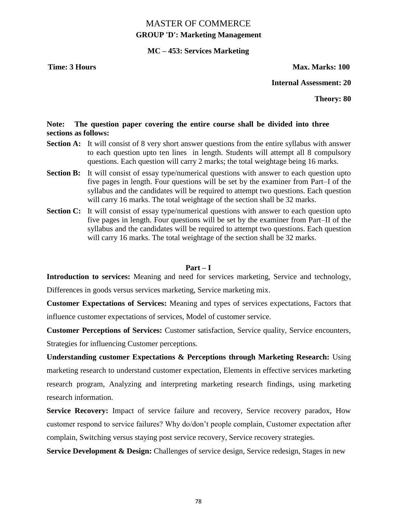# MASTER OF COMMERCE **GROUP 'D': Marketing Management**

## **MC – 453: Services Marketing**

**Time: 3 Hours Max. Marks: 100** 

**Internal Assessment: 20**

**Theory: 80**

## **Note: The question paper covering the entire course shall be divided into three sections as follows:**

- **Section A:** It will consist of 8 very short answer questions from the entire syllabus with answer to each question upto ten lines in length. Students will attempt all 8 compulsory questions. Each question will carry 2 marks; the total weightage being 16 marks.
- **Section B:** It will consist of essay type/numerical questions with answer to each question upto five pages in length. Four questions will be set by the examiner from Part–I of the syllabus and the candidates will be required to attempt two questions. Each question will carry 16 marks. The total weightage of the section shall be 32 marks.
- **Section C:** It will consist of essay type/numerical questions with answer to each question upto five pages in length. Four questions will be set by the examiner from Part–II of the syllabus and the candidates will be required to attempt two questions. Each question will carry 16 marks. The total weightage of the section shall be 32 marks.

### **Part – I**

**Introduction to services:** Meaning and need for services marketing, Service and technology, Differences in goods versus services marketing, Service marketing mix.

**Customer Expectations of Services:** Meaning and types of services expectations, Factors that influence customer expectations of services, Model of customer service.

**Customer Perceptions of Services:** Customer satisfaction, Service quality, Service encounters, Strategies for influencing Customer perceptions.

**Understanding customer Expectations & Perceptions through Marketing Research:** Using marketing research to understand customer expectation, Elements in effective services marketing research program, Analyzing and interpreting marketing research findings, using marketing research information.

**Service Recovery:** Impact of service failure and recovery, Service recovery paradox, How customer respond to service failures? Why do/don't people complain, Customer expectation after complain, Switching versus staying post service recovery, Service recovery strategies.

**Service Development & Design:** Challenges of service design, Service redesign, Stages in new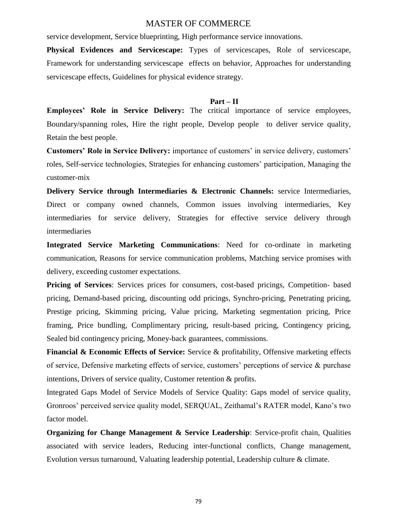service development, Service blueprinting, High performance service innovations.

**Physical Evidences and Servicescape:** Types of servicescapes, Role of servicescape, Framework for understanding servicescape effects on behavior, Approaches for understanding servicescape effects, Guidelines for physical evidence strategy.

#### **Part – II**

**Employees' Role in Service Delivery:** The critical importance of service employees, Boundary/spanning roles, Hire the right people, Develop people to deliver service quality, Retain the best people.

**Customers' Role in Service Delivery:** importance of customers' in service delivery, customers' roles, Self-service technologies, Strategies for enhancing customers' participation, Managing the customer-mix

**Delivery Service through Intermediaries & Electronic Channels:** service Intermediaries, Direct or company owned channels, Common issues involving intermediaries, Key intermediaries for service delivery, Strategies for effective service delivery through intermediaries

**Integrated Service Marketing Communications**: Need for co-ordinate in marketing communication, Reasons for service communication problems, Matching service promises with delivery, exceeding customer expectations.

Pricing of Services: Services prices for consumers, cost-based pricings, Competition- based pricing, Demand-based pricing, discounting odd pricings, Synchro-pricing, Penetrating pricing, Prestige pricing, Skimming pricing, Value pricing, Marketing segmentation pricing, Price framing, Price bundling, Complimentary pricing, result-based pricing, Contingency pricing, Sealed bid contingency pricing, Money-back guarantees, commissions.

**Financial & Economic Effects of Service:** Service & profitability, Offensive marketing effects of service, Defensive marketing effects of service, customers' perceptions of service & purchase intentions, Drivers of service quality, Customer retention & profits.

Integrated Gaps Model of Service Models of Service Quality: Gaps model of service quality, Gronroos' perceived service quality model, SERQUAL, Zeithamal's RATER model, Kano's two factor model.

**Organizing for Change Management & Service Leadership**: Service-profit chain, Qualities associated with service leaders, Reducing inter-functional conflicts, Change management, Evolution versus turnaround, Valuating leadership potential, Leadership culture & climate.